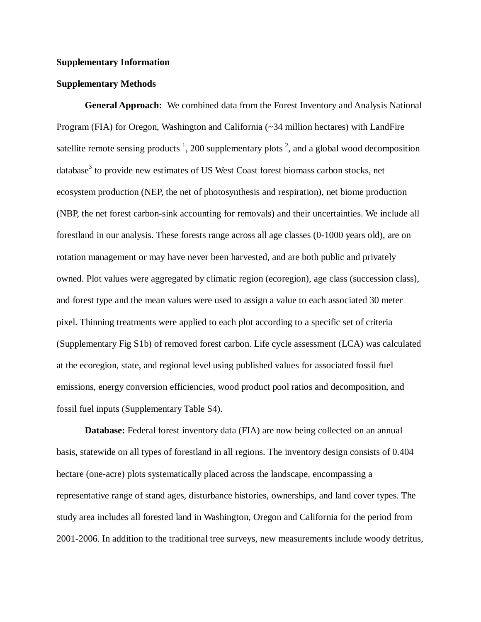#### **Supplementary Information**

#### **Supplementary Methods**

**General Approach:** We combined data from the Forest Inventory and Analysis National Program (FIA) for Oregon, Washington and California (~34 million hectares) with LandFire satellite remote sensing products  $\frac{1}{2}$ , 200 supplementary plots  $\frac{2}{3}$ , and a global wood decomposition  $database<sup>3</sup>$  to provide new estimates of US West Coast forest biomass carbon stocks, net ecosystem production (NEP, the net of photosynthesis and respiration), net biome production (NBP, the net forest carbon-sink accounting for removals) and their uncertainties. We include all forestland in our analysis. These forests range across all age classes (0-1000 years old), are on rotation management or may have never been harvested, and are both public and privately owned. Plot values were aggregated by climatic region (ecoregion), age class (succession class), and forest type and the mean values were used to assign a value to each associated 30 meter pixel. Thinning treatments were applied to each plot according to a specific set of criteria (Supplementary Fig S1b) of removed forest carbon. Life cycle assessment (LCA) was calculated at the ecoregion, state, and regional level using published values for associated fossil fuel emissions, energy conversion efficiencies, wood product pool ratios and decomposition, and fossil fuel inputs (Supplementary Table S4).

**Database:** Federal forest inventory data (FIA) are now being collected on an annual basis, statewide on all types of forestland in all regions. The inventory design consists of 0.404 hectare (one-acre) plots systematically placed across the landscape, encompassing a representative range of stand ages, disturbance histories, ownerships, and land cover types. The study area includes all forested land in Washington, Oregon and California for the period from 2001-2006. In addition to the traditional tree surveys, new measurements include woody detritus,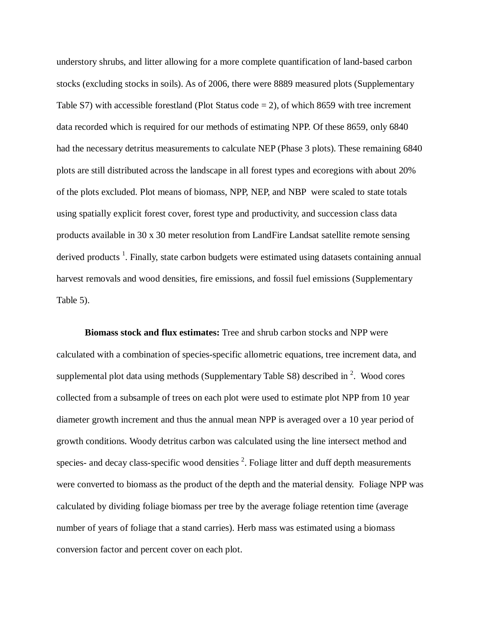understory shrubs, and litter allowing for a more complete quantification of land-based carbon stocks (excluding stocks in soils). As of 2006, there were 8889 measured plots (Supplementary Table S7) with accessible forestland (Plot Status code  $= 2$ ), of which 8659 with tree increment data recorded which is required for our methods of estimating NPP. Of these 8659, only 6840 had the necessary detritus measurements to calculate NEP (Phase 3 plots). These remaining 6840 plots are still distributed across the landscape in all forest types and ecoregions with about 20% of the plots excluded. Plot means of biomass, NPP, NEP, and NBP were scaled to state totals using spatially explicit forest cover, forest type and productivity, and succession class data products available in 30 x 30 meter resolution from LandFire Landsat satellite remote sensing derived products<sup>1</sup>. Finally, state carbon budgets were estimated using datasets containing annual harvest removals and wood densities, fire emissions, and fossil fuel emissions (Supplementary Table 5).

**Biomass stock and flux estimates:** Tree and shrub carbon stocks and NPP were calculated with a combination of species-specific allometric equations, tree increment data, and supplemental plot data using methods (Supplementary Table S8) described in  $2$ . Wood cores collected from a subsample of trees on each plot were used to estimate plot NPP from 10 year diameter growth increment and thus the annual mean NPP is averaged over a 10 year period of growth conditions. Woody detritus carbon was calculated using the line intersect method and species- and decay class-specific wood densities  $2$ . Foliage litter and duff depth measurements were converted to biomass as the product of the depth and the material density. Foliage NPP was calculated by dividing foliage biomass per tree by the average foliage retention time (average number of years of foliage that a stand carries). Herb mass was estimated using a biomass conversion factor and percent cover on each plot.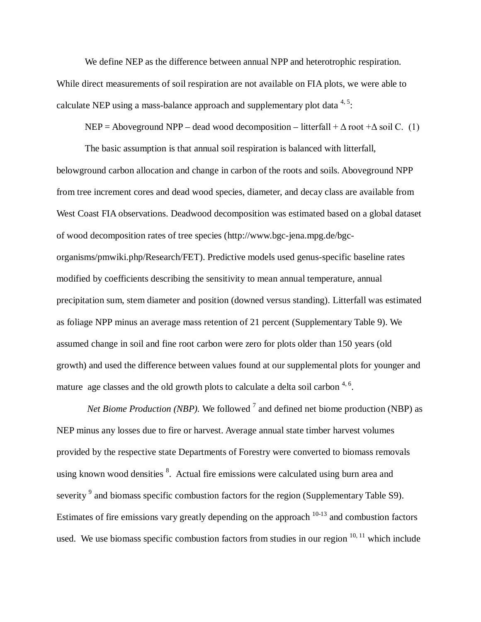We define NEP as the difference between annual NPP and heterotrophic respiration. While direct measurements of soil respiration are not available on FIA plots, we were able to calculate NEP using a mass-balance approach and supplementary plot data  $4.5$ :

 $NEP =$  Aboveground NPP – dead wood decomposition – litterfall +  $\Delta$  root + $\Delta$  soil C. (1)

The basic assumption is that annual soil respiration is balanced with litterfall, belowground carbon allocation and change in carbon of the roots and soils. Aboveground NPP from tree increment cores and dead wood species, diameter, and decay class are available from West Coast FIA observations. Deadwood decomposition was estimated based on a global dataset of wood decomposition rates of tree species (http://www.bgc-jena.mpg.de/bgcorganisms/pmwiki.php/Research/FET). Predictive models used genus-specific baseline rates modified by coefficients describing the sensitivity to mean annual temperature, annual precipitation sum, stem diameter and position (downed versus standing). Litterfall was estimated as foliage NPP minus an average mass retention of 21 percent (Supplementary Table 9). We assumed change in soil and fine root carbon were zero for plots older than 150 years (old growth) and used the difference between values found at our supplemental plots for younger and mature age classes and the old growth plots to calculate a delta soil carbon  $4.6$ .

*Net Biome Production (NBP).* We followed <sup>7</sup> and defined net biome production (NBP) as NEP minus any losses due to fire or harvest. Average annual state timber harvest volumes provided by the respective state Departments of Forestry were converted to biomass removals using known wood densities <sup>8</sup>. Actual fire emissions were calculated using burn area and severity<sup>9</sup> and biomass specific combustion factors for the region (Supplementary Table S9). Estimates of fire emissions vary greatly depending on the approach 10-13 and combustion factors used. We use biomass specific combustion factors from studies in our region  $10, 11$  which include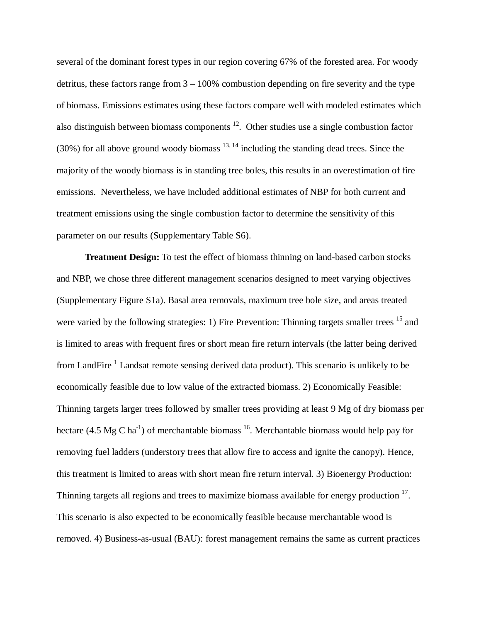several of the dominant forest types in our region covering 67% of the forested area. For woody detritus, these factors range from 3 – 100% combustion depending on fire severity and the type of biomass. Emissions estimates using these factors compare well with modeled estimates which also distinguish between biomass components 12. Other studies use a single combustion factor (30%) for all above ground woody biomass  $^{13, 14}$  including the standing dead trees. Since the majority of the woody biomass is in standing tree boles, this results in an overestimation of fire emissions. Nevertheless, we have included additional estimates of NBP for both current and treatment emissions using the single combustion factor to determine the sensitivity of this parameter on our results (Supplementary Table S6).

**Treatment Design:** To test the effect of biomass thinning on land-based carbon stocks and NBP, we chose three different management scenarios designed to meet varying objectives (Supplementary Figure S1a). Basal area removals, maximum tree bole size, and areas treated were varied by the following strategies: 1) Fire Prevention: Thinning targets smaller trees <sup>15</sup> and is limited to areas with frequent fires or short mean fire return intervals (the latter being derived from LandFire  $1$  Landsat remote sensing derived data product). This scenario is unlikely to be economically feasible due to low value of the extracted biomass. 2) Economically Feasible: Thinning targets larger trees followed by smaller trees providing at least 9 Mg of dry biomass per hectare (4.5 Mg C ha<sup>-1</sup>) of merchantable biomass  $^{16}$ . Merchantable biomass would help pay for removing fuel ladders (understory trees that allow fire to access and ignite the canopy). Hence, this treatment is limited to areas with short mean fire return interval. 3) Bioenergy Production: Thinning targets all regions and trees to maximize biomass available for energy production  $17$ . This scenario is also expected to be economically feasible because merchantable wood is removed. 4) Business-as-usual (BAU): forest management remains the same as current practices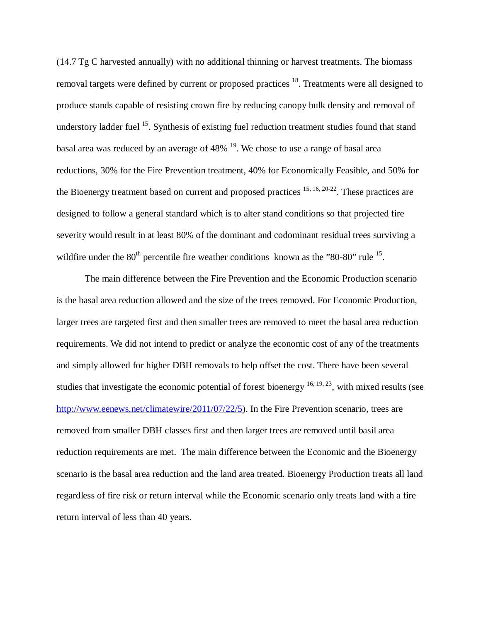(14.7 Tg C harvested annually) with no additional thinning or harvest treatments. The biomass removal targets were defined by current or proposed practices <sup>18</sup>. Treatments were all designed to produce stands capable of resisting crown fire by reducing canopy bulk density and removal of understory ladder fuel <sup>15</sup>. Synthesis of existing fuel reduction treatment studies found that stand basal area was reduced by an average of 48% 19. We chose to use a range of basal area reductions, 30% for the Fire Prevention treatment, 40% for Economically Feasible, and 50% for the Bioenergy treatment based on current and proposed practices  $15, 16, 20-22$ . These practices are designed to follow a general standard which is to alter stand conditions so that projected fire severity would result in at least 80% of the dominant and codominant residual trees surviving a wildfire under the  $80^{th}$  percentile fire weather conditions known as the " $80-80$ " rule  $^{15}$ .

The main difference between the Fire Prevention and the Economic Production scenario is the basal area reduction allowed and the size of the trees removed. For Economic Production, larger trees are targeted first and then smaller trees are removed to meet the basal area reduction requirements. We did not intend to predict or analyze the economic cost of any of the treatments and simply allowed for higher DBH removals to help offset the cost. There have been several studies that investigate the economic potential of forest bioenergy  $^{16, 19, 23}$ , with mixed results (see [http://www.eenews.net/climatewire/2011/07/22/5\)](http://www.eenews.net/climatewire/2011/07/22/5). In the Fire Prevention scenario, trees are removed from smaller DBH classes first and then larger trees are removed until basil area reduction requirements are met. The main difference between the Economic and the Bioenergy scenario is the basal area reduction and the land area treated. Bioenergy Production treats all land regardless of fire risk or return interval while the Economic scenario only treats land with a fire return interval of less than 40 years.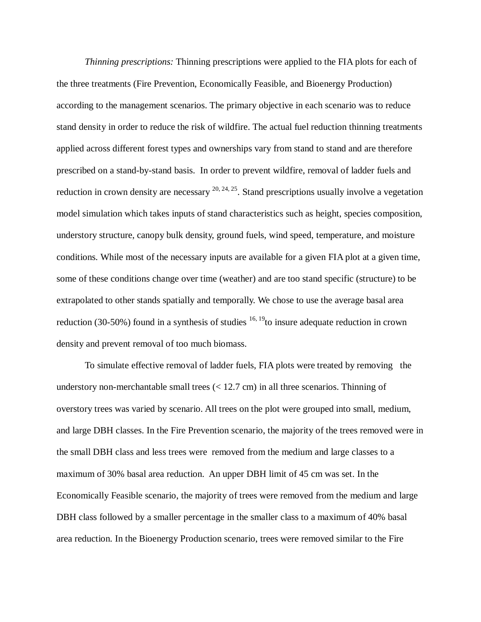*Thinning prescriptions:* Thinning prescriptions were applied to the FIA plots for each of the three treatments (Fire Prevention, Economically Feasible, and Bioenergy Production) according to the management scenarios. The primary objective in each scenario was to reduce stand density in order to reduce the risk of wildfire. The actual fuel reduction thinning treatments applied across different forest types and ownerships vary from stand to stand and are therefore prescribed on a stand-by-stand basis. In order to prevent wildfire, removal of ladder fuels and reduction in crown density are necessary  $^{20, 24, 25}$ . Stand prescriptions usually involve a vegetation model simulation which takes inputs of stand characteristics such as height, species composition, understory structure, canopy bulk density, ground fuels, wind speed, temperature, and moisture conditions. While most of the necessary inputs are available for a given FIA plot at a given time, some of these conditions change over time (weather) and are too stand specific (structure) to be extrapolated to other stands spatially and temporally. We chose to use the average basal area reduction (30-50%) found in a synthesis of studies  $16, 19$  to insure adequate reduction in crown density and prevent removal of too much biomass.

To simulate effective removal of ladder fuels, FIA plots were treated by removing the understory non-merchantable small trees  $(< 12.7 \text{ cm})$  in all three scenarios. Thinning of overstory trees was varied by scenario. All trees on the plot were grouped into small, medium, and large DBH classes. In the Fire Prevention scenario, the majority of the trees removed were in the small DBH class and less trees were removed from the medium and large classes to a maximum of 30% basal area reduction. An upper DBH limit of 45 cm was set. In the Economically Feasible scenario, the majority of trees were removed from the medium and large DBH class followed by a smaller percentage in the smaller class to a maximum of 40% basal area reduction. In the Bioenergy Production scenario, trees were removed similar to the Fire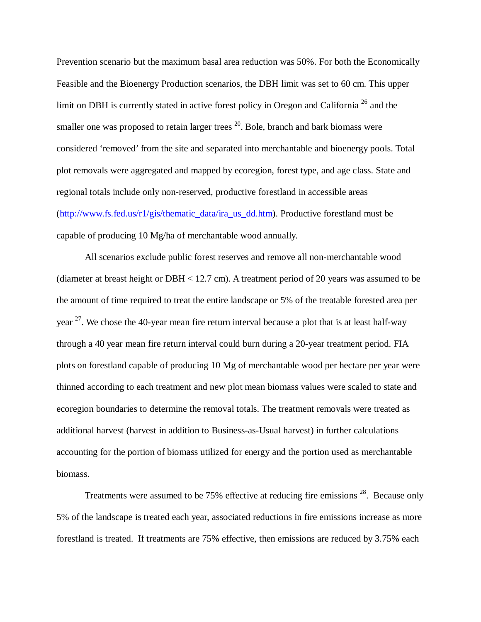Prevention scenario but the maximum basal area reduction was 50%. For both the Economically Feasible and the Bioenergy Production scenarios, the DBH limit was set to 60 cm. This upper limit on DBH is currently stated in active forest policy in Oregon and California  $^{26}$  and the smaller one was proposed to retain larger trees  $20$ . Bole, branch and bark biomass were considered 'removed' from the site and separated into merchantable and bioenergy pools. Total plot removals were aggregated and mapped by ecoregion, forest type, and age class. State and regional totals include only non-reserved, productive forestland in accessible areas [\(http://www.fs.fed.us/r1/gis/thematic\\_data/ira\\_us\\_dd.htm\)](http://www.fs.fed.us/r1/gis/thematic_data/ira_us_dd.htm). Productive forestland must be capable of producing 10 Mg/ha of merchantable wood annually.

All scenarios exclude public forest reserves and remove all non-merchantable wood (diameter at breast height or DBH < 12.7 cm). A treatment period of 20 years was assumed to be the amount of time required to treat the entire landscape or 5% of the treatable forested area per year <sup>27</sup>. We chose the 40-year mean fire return interval because a plot that is at least half-way through a 40 year mean fire return interval could burn during a 20-year treatment period. FIA plots on forestland capable of producing 10 Mg of merchantable wood per hectare per year were thinned according to each treatment and new plot mean biomass values were scaled to state and ecoregion boundaries to determine the removal totals. The treatment removals were treated as additional harvest (harvest in addition to Business-as-Usual harvest) in further calculations accounting for the portion of biomass utilized for energy and the portion used as merchantable biomass.

Treatments were assumed to be 75% effective at reducing fire emissions  $^{28}$ . Because only 5% of the landscape is treated each year, associated reductions in fire emissions increase as more forestland is treated. If treatments are 75% effective, then emissions are reduced by 3.75% each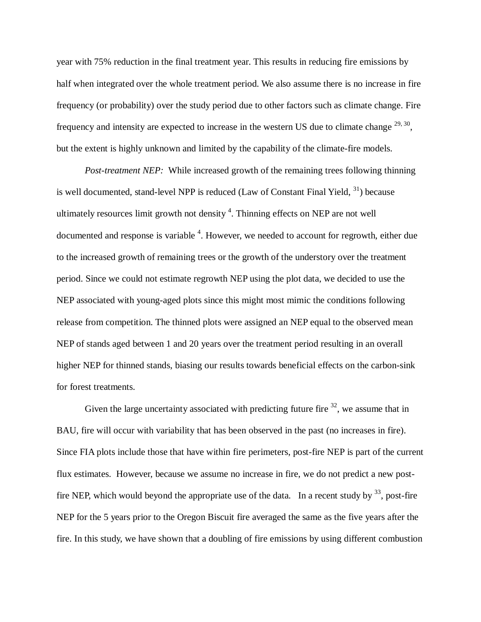year with 75% reduction in the final treatment year. This results in reducing fire emissions by half when integrated over the whole treatment period. We also assume there is no increase in fire frequency (or probability) over the study period due to other factors such as climate change. Fire frequency and intensity are expected to increase in the western US due to climate change  $29, 30$ , but the extent is highly unknown and limited by the capability of the climate-fire models.

*Post-treatment NEP:* While increased growth of the remaining trees following thinning is well documented, stand-level NPP is reduced (Law of Constant Final Yield,  $31$ ) because ultimately resources limit growth not density  $4$ . Thinning effects on NEP are not well documented and response is variable <sup>4</sup>. However, we needed to account for regrowth, either due to the increased growth of remaining trees or the growth of the understory over the treatment period. Since we could not estimate regrowth NEP using the plot data, we decided to use the NEP associated with young-aged plots since this might most mimic the conditions following release from competition. The thinned plots were assigned an NEP equal to the observed mean NEP of stands aged between 1 and 20 years over the treatment period resulting in an overall higher NEP for thinned stands, biasing our results towards beneficial effects on the carbon-sink for forest treatments.

Given the large uncertainty associated with predicting future fire  $32$ , we assume that in BAU, fire will occur with variability that has been observed in the past (no increases in fire). Since FIA plots include those that have within fire perimeters, post-fire NEP is part of the current flux estimates. However, because we assume no increase in fire, we do not predict a new postfire NEP, which would beyond the appropriate use of the data. In a recent study by  $^{33}$ , post-fire NEP for the 5 years prior to the Oregon Biscuit fire averaged the same as the five years after the fire. In this study, we have shown that a doubling of fire emissions by using different combustion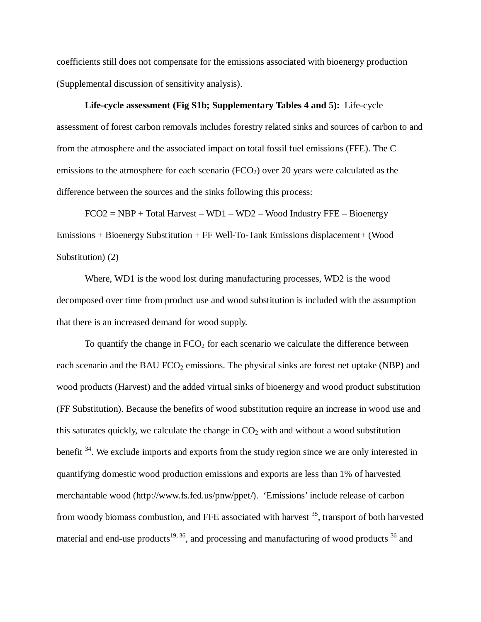coefficients still does not compensate for the emissions associated with bioenergy production (Supplemental discussion of sensitivity analysis).

**Life-cycle assessment (Fig S1b; Supplementary Tables 4 and 5):** Life-cycle assessment of forest carbon removals includes forestry related sinks and sources of carbon to and from the atmosphere and the associated impact on total fossil fuel emissions (FFE). The C emissions to the atmosphere for each scenario  $(FCO<sub>2</sub>)$  over 20 years were calculated as the difference between the sources and the sinks following this process:

 $FCO2 = NBP + Total Harvest - WD1 - WD2 - Wood Industry FFE - Bioenergy$ Emissions + Bioenergy Substitution + FF Well-To-Tank Emissions displacement+ (Wood Substitution) (2)

Where, WD1 is the wood lost during manufacturing processes, WD2 is the wood decomposed over time from product use and wood substitution is included with the assumption that there is an increased demand for wood supply.

To quantify the change in  $FCO<sub>2</sub>$  for each scenario we calculate the difference between each scenario and the BAU  $FCO<sub>2</sub>$  emissions. The physical sinks are forest net uptake (NBP) and wood products (Harvest) and the added virtual sinks of bioenergy and wood product substitution (FF Substitution). Because the benefits of wood substitution require an increase in wood use and this saturates quickly, we calculate the change in  $CO<sub>2</sub>$  with and without a wood substitution benefit <sup>34</sup>. We exclude imports and exports from the study region since we are only interested in quantifying domestic wood production emissions and exports are less than 1% of harvested merchantable wood (http://www.fs.fed.us/pnw/ppet/). 'Emissions' include release of carbon from woody biomass combustion, and FFE associated with harvest  $35$ , transport of both harvested material and end-use products<sup>19, 36</sup>, and processing and manufacturing of wood products  $36$  and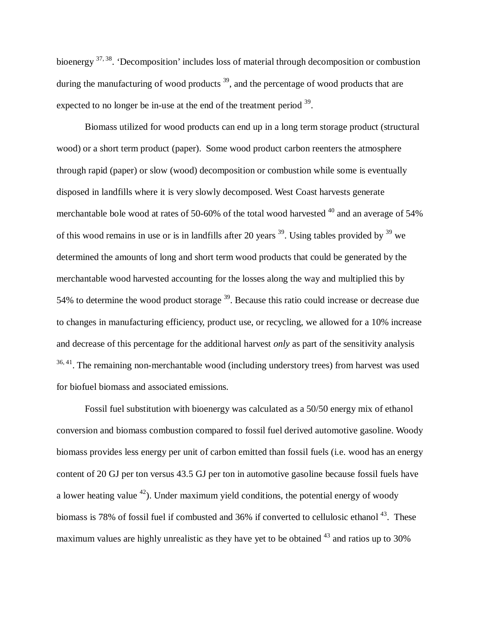bioenergy 37, 38. 'Decomposition' includes loss of material through decomposition or combustion during the manufacturing of wood products <sup>39</sup>, and the percentage of wood products that are expected to no longer be in-use at the end of the treatment period  $39$ .

Biomass utilized for wood products can end up in a long term storage product (structural wood) or a short term product (paper). Some wood product carbon reenters the atmosphere through rapid (paper) or slow (wood) decomposition or combustion while some is eventually disposed in landfills where it is very slowly decomposed. West Coast harvests generate merchantable bole wood at rates of 50-60% of the total wood harvested  $^{40}$  and an average of 54% of this wood remains in use or is in landfills after 20 years  $39$ . Using tables provided by  $39$  we determined the amounts of long and short term wood products that could be generated by the merchantable wood harvested accounting for the losses along the way and multiplied this by 54% to determine the wood product storage <sup>39</sup>. Because this ratio could increase or decrease due to changes in manufacturing efficiency, product use, or recycling, we allowed for a 10% increase and decrease of this percentage for the additional harvest *only* as part of the sensitivity analysis  $36,41$ . The remaining non-merchantable wood (including understory trees) from harvest was used for biofuel biomass and associated emissions.

Fossil fuel substitution with bioenergy was calculated as a 50/50 energy mix of ethanol conversion and biomass combustion compared to fossil fuel derived automotive gasoline. Woody biomass provides less energy per unit of carbon emitted than fossil fuels (i.e. wood has an energy content of 20 GJ per ton versus 43.5 GJ per ton in automotive gasoline because fossil fuels have a lower heating value  $42$ ). Under maximum yield conditions, the potential energy of woody biomass is 78% of fossil fuel if combusted and 36% if converted to cellulosic ethanol  $^{43}$ . These maximum values are highly unrealistic as they have yet to be obtained  $43$  and ratios up to 30%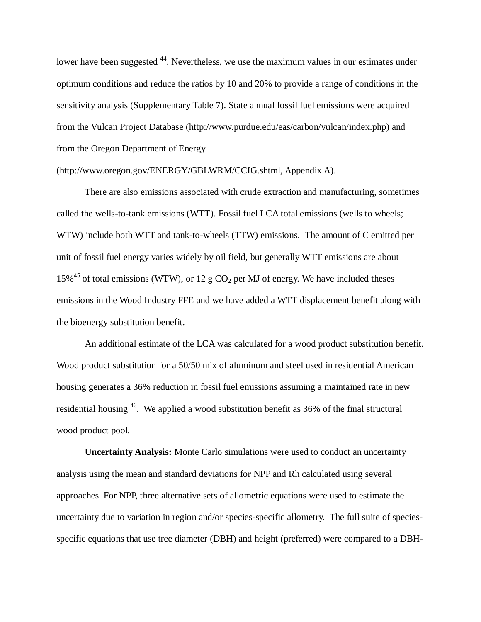lower have been suggested <sup>44</sup>. Nevertheless, we use the maximum values in our estimates under optimum conditions and reduce the ratios by 10 and 20% to provide a range of conditions in the sensitivity analysis (Supplementary Table 7). State annual fossil fuel emissions were acquired from the Vulcan Project Database (http://www.purdue.edu/eas/carbon/vulcan/index.php) and from the Oregon Department of Energy

### (http://www.oregon.gov/ENERGY/GBLWRM/CCIG.shtml, Appendix A).

There are also emissions associated with crude extraction and manufacturing, sometimes called the wells-to-tank emissions (WTT). Fossil fuel LCA total emissions (wells to wheels; WTW) include both WTT and tank-to-wheels (TTW) emissions. The amount of C emitted per unit of fossil fuel energy varies widely by oil field, but generally WTT emissions are about 15%<sup>45</sup> of total emissions (WTW), or 12 g  $CO<sub>2</sub>$  per MJ of energy. We have included theses emissions in the Wood Industry FFE and we have added a WTT displacement benefit along with the bioenergy substitution benefit.

An additional estimate of the LCA was calculated for a wood product substitution benefit. Wood product substitution for a 50/50 mix of aluminum and steel used in residential American housing generates a 36% reduction in fossil fuel emissions assuming a maintained rate in new residential housing 46. We applied a wood substitution benefit as 36% of the final structural wood product pool.

**Uncertainty Analysis:** Monte Carlo simulations were used to conduct an uncertainty analysis using the mean and standard deviations for NPP and Rh calculated using several approaches. For NPP, three alternative sets of allometric equations were used to estimate the uncertainty due to variation in region and/or species-specific allometry. The full suite of speciesspecific equations that use tree diameter (DBH) and height (preferred) were compared to a DBH-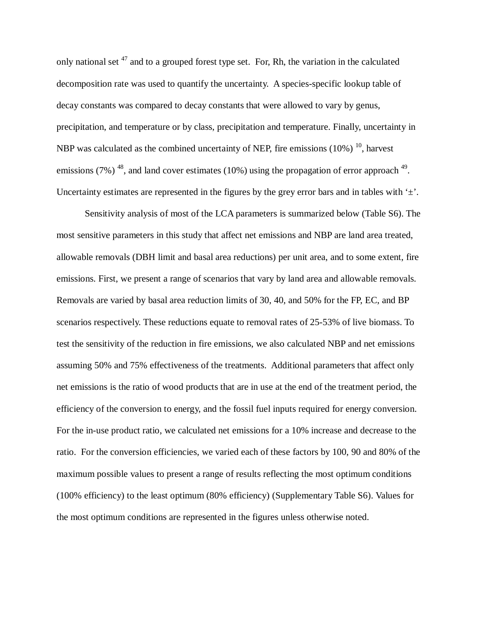only national set  $47$  and to a grouped forest type set. For, Rh, the variation in the calculated decomposition rate was used to quantify the uncertainty. A species-specific lookup table of decay constants was compared to decay constants that were allowed to vary by genus, precipitation, and temperature or by class, precipitation and temperature. Finally, uncertainty in NBP was calculated as the combined uncertainty of NEP, fire emissions  $(10\%)$ <sup>10</sup>, harvest emissions (7%)  $^{48}$ , and land cover estimates (10%) using the propagation of error approach  $^{49}$ . Uncertainty estimates are represented in the figures by the grey error bars and in tables with  $\pm$ .

Sensitivity analysis of most of the LCA parameters is summarized below (Table S6). The most sensitive parameters in this study that affect net emissions and NBP are land area treated, allowable removals (DBH limit and basal area reductions) per unit area, and to some extent, fire emissions. First, we present a range of scenarios that vary by land area and allowable removals. Removals are varied by basal area reduction limits of 30, 40, and 50% for the FP, EC, and BP scenarios respectively. These reductions equate to removal rates of 25-53% of live biomass. To test the sensitivity of the reduction in fire emissions, we also calculated NBP and net emissions assuming 50% and 75% effectiveness of the treatments. Additional parameters that affect only net emissions is the ratio of wood products that are in use at the end of the treatment period, the efficiency of the conversion to energy, and the fossil fuel inputs required for energy conversion. For the in-use product ratio, we calculated net emissions for a 10% increase and decrease to the ratio. For the conversion efficiencies, we varied each of these factors by 100, 90 and 80% of the maximum possible values to present a range of results reflecting the most optimum conditions (100% efficiency) to the least optimum (80% efficiency) (Supplementary Table S6). Values for the most optimum conditions are represented in the figures unless otherwise noted.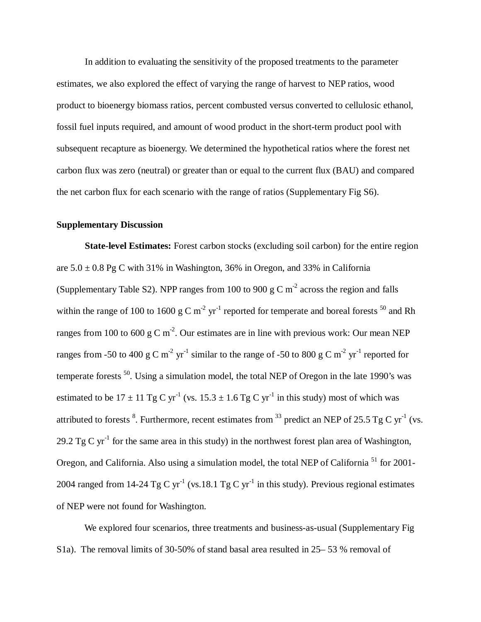In addition to evaluating the sensitivity of the proposed treatments to the parameter estimates, we also explored the effect of varying the range of harvest to NEP ratios, wood product to bioenergy biomass ratios, percent combusted versus converted to cellulosic ethanol, fossil fuel inputs required, and amount of wood product in the short-term product pool with subsequent recapture as bioenergy. We determined the hypothetical ratios where the forest net carbon flux was zero (neutral) or greater than or equal to the current flux (BAU) and compared the net carbon flux for each scenario with the range of ratios (Supplementary Fig S6).

## **Supplementary Discussion**

**State-level Estimates:** Forest carbon stocks (excluding soil carbon) for the entire region are  $5.0 \pm 0.8$  Pg C with 31% in Washington, 36% in Oregon, and 33% in California (Supplementary Table S2). NPP ranges from 100 to 900 g C  $m<sup>-2</sup>$  across the region and falls within the range of 100 to 1600 g C m<sup>-2</sup> yr<sup>-1</sup> reported for temperate and boreal forests <sup>50</sup> and Rh ranges from 100 to 600 g C m<sup>-2</sup>. Our estimates are in line with previous work: Our mean NEP ranges from -50 to 400 g C m<sup>-2</sup> yr<sup>-1</sup> similar to the range of -50 to 800 g C m<sup>-2</sup> yr<sup>-1</sup> reported for temperate forests  $^{50}$ . Using a simulation model, the total NEP of Oregon in the late 1990's was estimated to be  $17 \pm 11$  Tg C yr<sup>-1</sup> (vs.  $15.3 \pm 1.6$  Tg C yr<sup>-1</sup> in this study) most of which was attributed to forests <sup>8</sup>. Furthermore, recent estimates from <sup>33</sup> predict an NEP of 25.5 Tg C yr<sup>-1</sup> (vs. 29.2 Tg C yr<sup>-1</sup> for the same area in this study) in the northwest forest plan area of Washington, Oregon, and California. Also using a simulation model, the total NEP of California<sup>51</sup> for 2001-2004 ranged from 14-24 Tg C yr<sup>-1</sup> (vs.18.1 Tg C yr<sup>-1</sup> in this study). Previous regional estimates of NEP were not found for Washington.

We explored four scenarios, three treatments and business-as-usual (Supplementary Fig S1a). The removal limits of 30-50% of stand basal area resulted in 25– 53 % removal of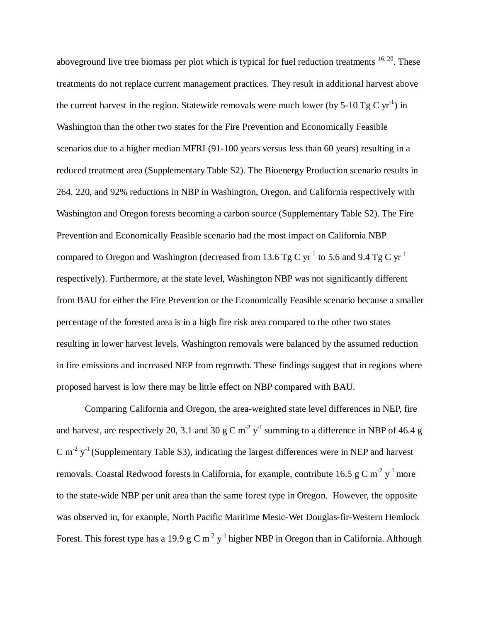aboveground live tree biomass per plot which is typical for fuel reduction treatments  $16, 20$ . These treatments do not replace current management practices. They result in additional harvest above the current harvest in the region. Statewide removals were much lower (by 5-10 Tg C  $yr^{-1}$ ) in Washington than the other two states for the Fire Prevention and Economically Feasible scenarios due to a higher median MFRI (91-100 years versus less than 60 years) resulting in a reduced treatment area (Supplementary Table S2). The Bioenergy Production scenario results in 264, 220, and 92% reductions in NBP in Washington, Oregon, and California respectively with Washington and Oregon forests becoming a carbon source (Supplementary Table S2). The Fire Prevention and Economically Feasible scenario had the most impact on California NBP compared to Oregon and Washington (decreased from 13.6 Tg C yr<sup>-1</sup> to 5.6 and 9.4 Tg C yr<sup>-1</sup> respectively). Furthermore, at the state level, Washington NBP was not significantly different from BAU for either the Fire Prevention or the Economically Feasible scenario because a smaller percentage of the forested area is in a high fire risk area compared to the other two states resulting in lower harvest levels. Washington removals were balanced by the assumed reduction in fire emissions and increased NEP from regrowth. These findings suggest that in regions where proposed harvest is low there may be little effect on NBP compared with BAU.

Comparing California and Oregon, the area-weighted state level differences in NEP, fire and harvest, are respectively 20, 3.1 and 30 g C m<sup>-2</sup> y<sup>-1</sup> summing to a difference in NBP of 46.4 g C m<sup>-2</sup>  $y^{-1}$  (Supplementary Table S3), indicating the largest differences were in NEP and harvest removals. Coastal Redwood forests in California, for example, contribute 16.5 g C m<sup>-2</sup> y<sup>-1</sup> more to the state-wide NBP per unit area than the same forest type in Oregon. However, the opposite was observed in, for example, North Pacific Maritime Mesic-Wet Douglas-fir-Western Hemlock Forest. This forest type has a 19.9 g C m<sup>-2</sup> y<sup>-1</sup> higher NBP in Oregon than in California. Although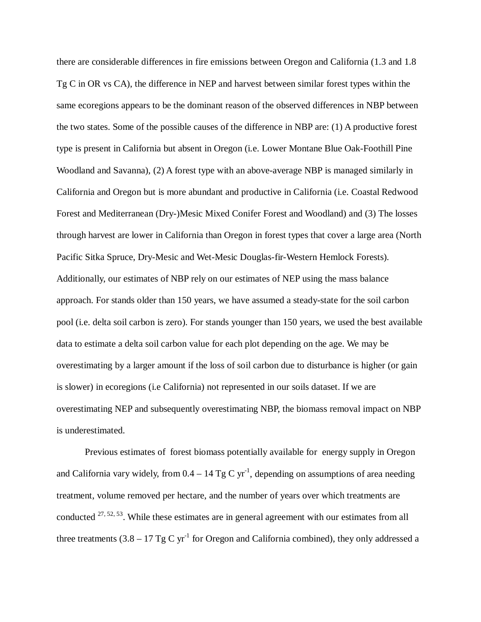there are considerable differences in fire emissions between Oregon and California (1.3 and 1.8 Tg C in OR vs CA), the difference in NEP and harvest between similar forest types within the same ecoregions appears to be the dominant reason of the observed differences in NBP between the two states. Some of the possible causes of the difference in NBP are: (1) A productive forest type is present in California but absent in Oregon (i.e. Lower Montane Blue Oak-Foothill Pine Woodland and Savanna), (2) A forest type with an above-average NBP is managed similarly in California and Oregon but is more abundant and productive in California (i.e. Coastal Redwood Forest and Mediterranean (Dry-)Mesic Mixed Conifer Forest and Woodland) and (3) The losses through harvest are lower in California than Oregon in forest types that cover a large area (North Pacific Sitka Spruce, Dry-Mesic and Wet-Mesic Douglas-fir-Western Hemlock Forests). Additionally, our estimates of NBP rely on our estimates of NEP using the mass balance approach. For stands older than 150 years, we have assumed a steady-state for the soil carbon pool (i.e. delta soil carbon is zero). For stands younger than 150 years, we used the best available data to estimate a delta soil carbon value for each plot depending on the age. We may be overestimating by a larger amount if the loss of soil carbon due to disturbance is higher (or gain is slower) in ecoregions (i.e California) not represented in our soils dataset. If we are overestimating NEP and subsequently overestimating NBP, the biomass removal impact on NBP is underestimated.

Previous estimates of forest biomass potentially available for energy supply in Oregon and California vary widely, from  $0.4 - 14$  Tg C yr<sup>-1</sup>, depending on assumptions of area needing treatment, volume removed per hectare, and the number of years over which treatments are conducted  $27, 52, 53$ . While these estimates are in general agreement with our estimates from all three treatments  $(3.8 - 17 \text{ Tg C yr}^{-1}$  for Oregon and California combined), they only addressed a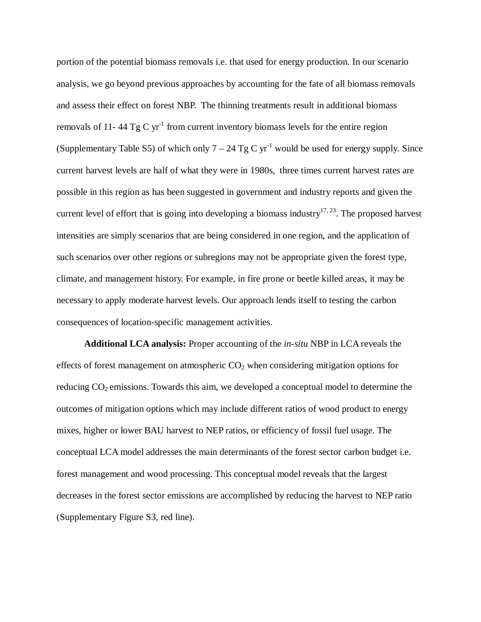portion of the potential biomass removals i.e. that used for energy production. In our scenario analysis, we go beyond previous approaches by accounting for the fate of all biomass removals and assess their effect on forest NBP. The thinning treatments result in additional biomass removals of 11-44 Tg C yr<sup>-1</sup> from current inventory biomass levels for the entire region (Supplementary Table S5) of which only  $7 - 24$  Tg C yr<sup>-1</sup> would be used for energy supply. Since current harvest levels are half of what they were in 1980s, three times current harvest rates are possible in this region as has been suggested in government and industry reports and given the current level of effort that is going into developing a biomass industry<sup>17, 23</sup>. The proposed harvest intensities are simply scenarios that are being considered in one region, and the application of such scenarios over other regions or subregions may not be appropriate given the forest type, climate, and management history. For example, in fire prone or beetle killed areas, it may be necessary to apply moderate harvest levels. Our approach lends itself to testing the carbon consequences of location-specific management activities.

**Additional LCA analysis:** Proper accounting of the *in-situ* NBP in LCA reveals the effects of forest management on atmospheric  $CO<sub>2</sub>$  when considering mitigation options for reducing  $CO<sub>2</sub>$  emissions. Towards this aim, we developed a conceptual model to determine the outcomes of mitigation options which may include different ratios of wood product to energy mixes, higher or lower BAU harvest to NEP ratios, or efficiency of fossil fuel usage. The conceptual LCA model addresses the main determinants of the forest sector carbon budget i.e. forest management and wood processing. This conceptual model reveals that the largest decreases in the forest sector emissions are accomplished by reducing the harvest to NEP ratio (Supplementary Figure S3, red line).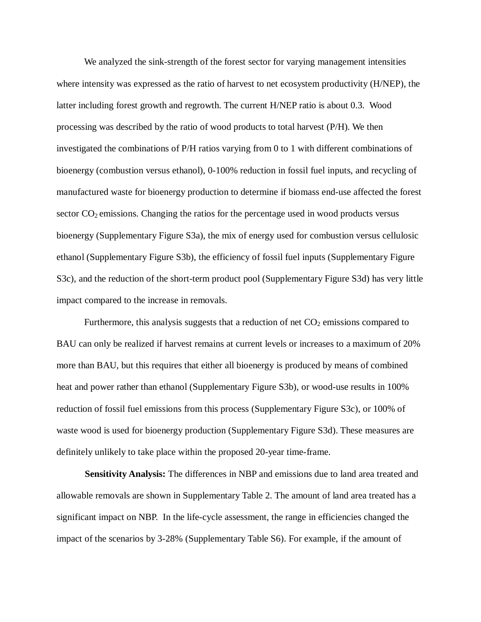We analyzed the sink-strength of the forest sector for varying management intensities where intensity was expressed as the ratio of harvest to net ecosystem productivity (H/NEP), the latter including forest growth and regrowth. The current H/NEP ratio is about 0.3. Wood processing was described by the ratio of wood products to total harvest (P/H). We then investigated the combinations of P/H ratios varying from 0 to 1 with different combinations of bioenergy (combustion versus ethanol), 0-100% reduction in fossil fuel inputs, and recycling of manufactured waste for bioenergy production to determine if biomass end-use affected the forest sector  $CO<sub>2</sub>$  emissions. Changing the ratios for the percentage used in wood products versus bioenergy (Supplementary Figure S3a), the mix of energy used for combustion versus cellulosic ethanol (Supplementary Figure S3b), the efficiency of fossil fuel inputs (Supplementary Figure S3c), and the reduction of the short-term product pool (Supplementary Figure S3d) has very little impact compared to the increase in removals.

Furthermore, this analysis suggests that a reduction of net  $CO<sub>2</sub>$  emissions compared to BAU can only be realized if harvest remains at current levels or increases to a maximum of 20% more than BAU, but this requires that either all bioenergy is produced by means of combined heat and power rather than ethanol (Supplementary Figure S3b), or wood-use results in 100% reduction of fossil fuel emissions from this process (Supplementary Figure S3c), or 100% of waste wood is used for bioenergy production (Supplementary Figure S3d). These measures are definitely unlikely to take place within the proposed 20-year time-frame.

**Sensitivity Analysis:** The differences in NBP and emissions due to land area treated and allowable removals are shown in Supplementary Table 2. The amount of land area treated has a significant impact on NBP. In the life-cycle assessment, the range in efficiencies changed the impact of the scenarios by 3-28% (Supplementary Table S6). For example, if the amount of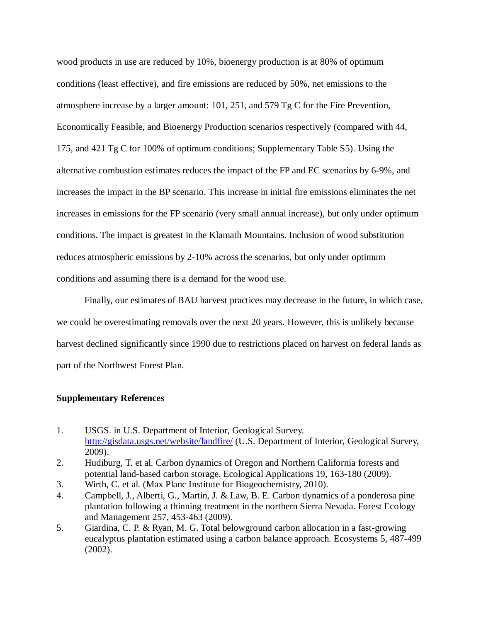wood products in use are reduced by 10%, bioenergy production is at 80% of optimum conditions (least effective), and fire emissions are reduced by 50%, net emissions to the atmosphere increase by a larger amount: 101, 251, and 579 Tg C for the Fire Prevention, Economically Feasible, and Bioenergy Production scenarios respectively (compared with 44, 175, and 421 Tg C for 100% of optimum conditions; Supplementary Table S5). Using the alternative combustion estimates reduces the impact of the FP and EC scenarios by 6-9%, and increases the impact in the BP scenario. This increase in initial fire emissions eliminates the net increases in emissions for the FP scenario (very small annual increase), but only under optimum conditions. The impact is greatest in the Klamath Mountains. Inclusion of wood substitution reduces atmospheric emissions by 2-10% across the scenarios, but only under optimum conditions and assuming there is a demand for the wood use.

Finally, our estimates of BAU harvest practices may decrease in the future, in which case, we could be overestimating removals over the next 20 years. However, this is unlikely because harvest declined significantly since 1990 due to restrictions placed on harvest on federal lands as part of the Northwest Forest Plan.

# **Supplementary References**

- 1. USGS. in U.S. Department of Interior, Geological Survey. <http://gisdata.usgs.net/website/landfire/> (U.S. Department of Interior, Geological Survey, 2009).
- 2. Hudiburg, T. et al. Carbon dynamics of Oregon and Northern California forests and potential land-based carbon storage. Ecological Applications 19, 163-180 (2009).
- 3. Wirth, C. et al. (Max Planc Institute for Biogeochemistry, 2010).
- 4. Campbell, J., Alberti, G., Martin, J. & Law, B. E. Carbon dynamics of a ponderosa pine plantation following a thinning treatment in the northern Sierra Nevada. Forest Ecology and Management 257, 453-463 (2009).
- 5. Giardina, C. P. & Ryan, M. G. Total belowground carbon allocation in a fast-growing eucalyptus plantation estimated using a carbon balance approach. Ecosystems 5, 487-499 (2002).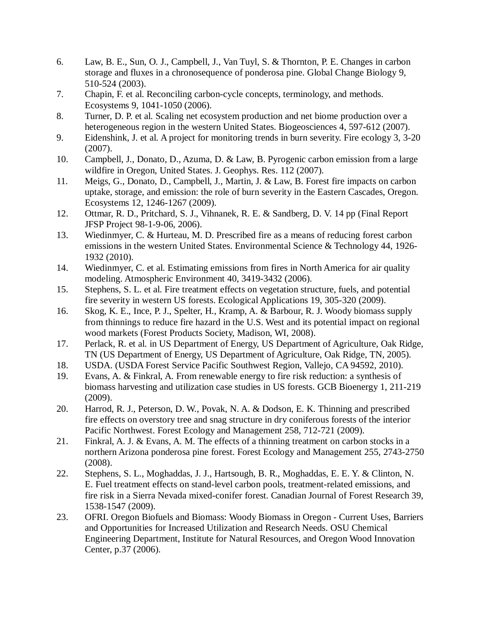- 6. Law, B. E., Sun, O. J., Campbell, J., Van Tuyl, S. & Thornton, P. E. Changes in carbon storage and fluxes in a chronosequence of ponderosa pine. Global Change Biology 9, 510-524 (2003).
- 7. Chapin, F. et al. Reconciling carbon-cycle concepts, terminology, and methods. Ecosystems 9, 1041-1050 (2006).
- 8. Turner, D. P. et al. Scaling net ecosystem production and net biome production over a heterogeneous region in the western United States. Biogeosciences 4, 597-612 (2007).
- 9. Eidenshink, J. et al. A project for monitoring trends in burn severity. Fire ecology 3, 3-20 (2007).
- 10. Campbell, J., Donato, D., Azuma, D. & Law, B. Pyrogenic carbon emission from a large wildfire in Oregon, United States. J. Geophys. Res. 112 (2007).
- 11. Meigs, G., Donato, D., Campbell, J., Martin, J. & Law, B. Forest fire impacts on carbon uptake, storage, and emission: the role of burn severity in the Eastern Cascades, Oregon. Ecosystems 12, 1246-1267 (2009).
- 12. Ottmar, R. D., Pritchard, S. J., Vihnanek, R. E. & Sandberg, D. V. 14 pp (Final Report JFSP Project 98-1-9-06, 2006).
- 13. Wiedinmyer, C. & Hurteau, M. D. Prescribed fire as a means of reducing forest carbon emissions in the western United States. Environmental Science & Technology 44, 1926- 1932 (2010).
- 14. Wiedinmyer, C. et al. Estimating emissions from fires in North America for air quality modeling. Atmospheric Environment 40, 3419-3432 (2006).
- 15. Stephens, S. L. et al. Fire treatment effects on vegetation structure, fuels, and potential fire severity in western US forests. Ecological Applications 19, 305-320 (2009).
- 16. Skog, K. E., Ince, P. J., Spelter, H., Kramp, A. & Barbour, R. J. Woody biomass supply from thinnings to reduce fire hazard in the U.S. West and its potential impact on regional wood markets (Forest Products Society, Madison, WI, 2008).
- 17. Perlack, R. et al. in US Department of Energy, US Department of Agriculture, Oak Ridge, TN (US Department of Energy, US Department of Agriculture, Oak Ridge, TN, 2005).
- 18. USDA. (USDA Forest Service Pacific Southwest Region, Vallejo, CA 94592, 2010).
- 19. Evans, A. & Finkral, A. From renewable energy to fire risk reduction: a synthesis of biomass harvesting and utilization case studies in US forests. GCB Bioenergy 1, 211-219 (2009).
- 20. Harrod, R. J., Peterson, D. W., Povak, N. A. & Dodson, E. K. Thinning and prescribed fire effects on overstory tree and snag structure in dry coniferous forests of the interior Pacific Northwest. Forest Ecology and Management 258, 712-721 (2009).
- 21. Finkral, A. J. & Evans, A. M. The effects of a thinning treatment on carbon stocks in a northern Arizona ponderosa pine forest. Forest Ecology and Management 255, 2743-2750 (2008).
- 22. Stephens, S. L., Moghaddas, J. J., Hartsough, B. R., Moghaddas, E. E. Y. & Clinton, N. E. Fuel treatment effects on stand-level carbon pools, treatment-related emissions, and fire risk in a Sierra Nevada mixed-conifer forest. Canadian Journal of Forest Research 39, 1538-1547 (2009).
- 23. OFRI. Oregon Biofuels and Biomass: Woody Biomass in Oregon Current Uses, Barriers and Opportunities for Increased Utilization and Research Needs. OSU Chemical Engineering Department, Institute for Natural Resources, and Oregon Wood Innovation Center, p.37 (2006).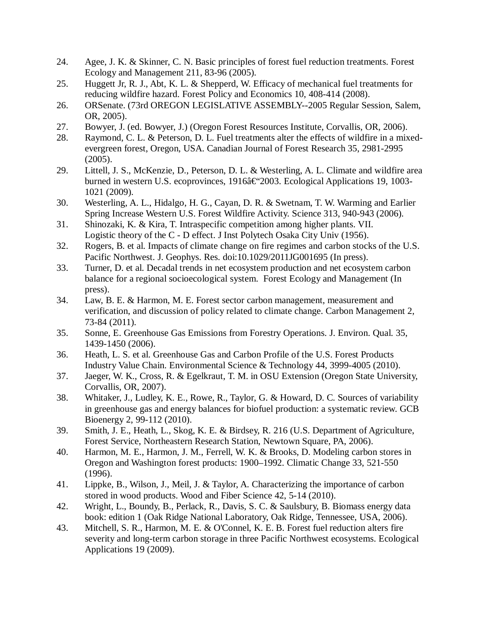- 24. Agee, J. K. & Skinner, C. N. Basic principles of forest fuel reduction treatments. Forest Ecology and Management 211, 83-96 (2005).
- 25. Huggett Jr, R. J., Abt, K. L. & Shepperd, W. Efficacy of mechanical fuel treatments for reducing wildfire hazard. Forest Policy and Economics 10, 408-414 (2008).
- 26. ORSenate. (73rd OREGON LEGISLATIVE ASSEMBLY--2005 Regular Session, Salem, OR, 2005).
- 27. Bowyer, J. (ed. Bowyer, J.) (Oregon Forest Resources Institute, Corvallis, OR, 2006).
- 28. Raymond, C. L. & Peterson, D. L. Fuel treatments alter the effects of wildfire in a mixedevergreen forest, Oregon, USA. Canadian Journal of Forest Research 35, 2981-2995 (2005).
- 29. Littell, J. S., McKenzie, D., Peterson, D. L. & Westerling, A. L. Climate and wildfire area burned in western U.S. ecoprovinces, 1916â€'2003. Ecological Applications 19, 1003-1021 (2009).
- 30. Westerling, A. L., Hidalgo, H. G., Cayan, D. R. & Swetnam, T. W. Warming and Earlier Spring Increase Western U.S. Forest Wildfire Activity. Science 313, 940-943 (2006).
- 31. Shinozaki, K. & Kira, T. Intraspecific competition among higher plants. VII. Logistic theory of the C - D effect. J Inst Polytech Osaka City Univ (1956).
- 32. Rogers, B. et al. Impacts of climate change on fire regimes and carbon stocks of the U.S. Pacific Northwest. J. Geophys. Res. doi:10.1029/2011JG001695 (In press).
- 33. Turner, D. et al. Decadal trends in net ecosystem production and net ecosystem carbon balance for a regional socioecological system. Forest Ecology and Management (In press).
- 34. Law, B. E. & Harmon, M. E. Forest sector carbon management, measurement and verification, and discussion of policy related to climate change. Carbon Management 2, 73-84 (2011).
- 35. Sonne, E. Greenhouse Gas Emissions from Forestry Operations. J. Environ. Qual. 35, 1439-1450 (2006).
- 36. Heath, L. S. et al. Greenhouse Gas and Carbon Profile of the U.S. Forest Products Industry Value Chain. Environmental Science & Technology 44, 3999-4005 (2010).
- 37. Jaeger, W. K., Cross, R. & Egelkraut, T. M. in OSU Extension (Oregon State University, Corvallis, OR, 2007).
- 38. Whitaker, J., Ludley, K. E., Rowe, R., Taylor, G. & Howard, D. C. Sources of variability in greenhouse gas and energy balances for biofuel production: a systematic review. GCB Bioenergy 2, 99-112 (2010).
- 39. Smith, J. E., Heath, L., Skog, K. E. & Birdsey, R. 216 (U.S. Department of Agriculture, Forest Service, Northeastern Research Station, Newtown Square, PA, 2006).
- 40. Harmon, M. E., Harmon, J. M., Ferrell, W. K. & Brooks, D. Modeling carbon stores in Oregon and Washington forest products: 1900–1992. Climatic Change 33, 521-550 (1996).
- 41. Lippke, B., Wilson, J., Meil, J. & Taylor, A. Characterizing the importance of carbon stored in wood products. Wood and Fiber Science 42, 5-14 (2010).
- 42. Wright, L., Boundy, B., Perlack, R., Davis, S. C. & Saulsbury, B. Biomass energy data book: edition 1 (Oak Ridge National Laboratory, Oak Ridge, Tennessee, USA, 2006).
- 43. Mitchell, S. R., Harmon, M. E. & O'Connel, K. E. B. Forest fuel reduction alters fire severity and long-term carbon storage in three Pacific Northwest ecosystems. Ecological Applications 19 (2009).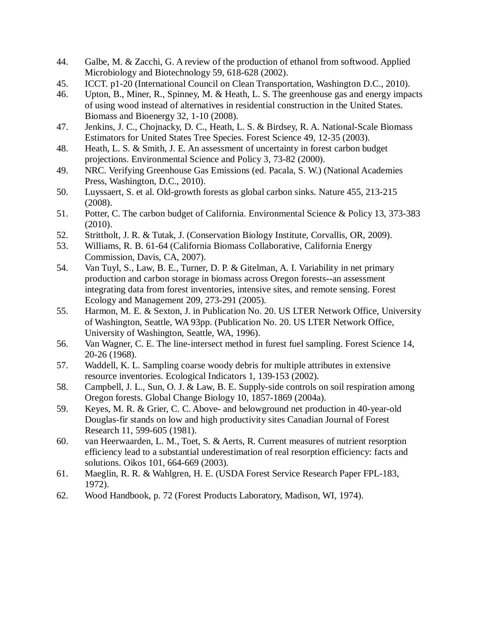- 44. Galbe, M. & Zacchi, G. A review of the production of ethanol from softwood. Applied Microbiology and Biotechnology 59, 618-628 (2002).
- 45. ICCT. p1-20 (International Council on Clean Transportation, Washington D.C., 2010).
- 46. Upton, B., Miner, R., Spinney, M. & Heath, L. S. The greenhouse gas and energy impacts of using wood instead of alternatives in residential construction in the United States. Biomass and Bioenergy 32, 1-10 (2008).
- 47. Jenkins, J. C., Chojnacky, D. C., Heath, L. S. & Birdsey, R. A. National-Scale Biomass Estimators for United States Tree Species. Forest Science 49, 12-35 (2003).
- 48. Heath, L. S. & Smith, J. E. An assessment of uncertainty in forest carbon budget projections. Environmental Science and Policy 3, 73-82 (2000).
- 49. NRC. Verifying Greenhouse Gas Emissions (ed. Pacala, S. W.) (National Academies Press, Washington, D.C., 2010).
- 50. Luyssaert, S. et al. Old-growth forests as global carbon sinks. Nature 455, 213-215 (2008).
- 51. Potter, C. The carbon budget of California. Environmental Science & Policy 13, 373-383 (2010).
- 52. Strittholt, J. R. & Tutak, J. (Conservation Biology Institute, Corvallis, OR, 2009).
- 53. Williams, R. B. 61-64 (California Biomass Collaborative, California Energy Commission, Davis, CA, 2007).
- 54. Van Tuyl, S., Law, B. E., Turner, D. P. & Gitelman, A. I. Variability in net primary production and carbon storage in biomass across Oregon forests--an assessment integrating data from forest inventories, intensive sites, and remote sensing. Forest Ecology and Management 209, 273-291 (2005).
- 55. Harmon, M. E. & Sexton, J. in Publication No. 20. US LTER Network Office, University of Washington, Seattle, WA 93pp. (Publication No. 20. US LTER Network Office, University of Washington, Seattle, WA, 1996).
- 56. Van Wagner, C. E. The line-intersect method in furest fuel sampling. Forest Science 14, 20-26 (1968).
- 57. Waddell, K. L. Sampling coarse woody debris for multiple attributes in extensive resource inventories. Ecological Indicators 1, 139-153 (2002).
- 58. Campbell, J. L., Sun, O. J. & Law, B. E. Supply-side controls on soil respiration among Oregon forests. Global Change Biology 10, 1857-1869 (2004a).
- 59. Keyes, M. R. & Grier, C. C. Above- and belowground net production in 40-year-old Douglas-fir stands on low and high productivity sites Canadian Journal of Forest Research 11, 599-605 (1981).
- 60. van Heerwaarden, L. M., Toet, S. & Aerts, R. Current measures of nutrient resorption efficiency lead to a substantial underestimation of real resorption efficiency: facts and solutions. Oikos 101, 664-669 (2003).
- 61. Maeglin, R. R. & Wahlgren, H. E. (USDA Forest Service Research Paper FPL-183, 1972).
- 62. Wood Handbook, p. 72 (Forest Products Laboratory, Madison, WI, 1974).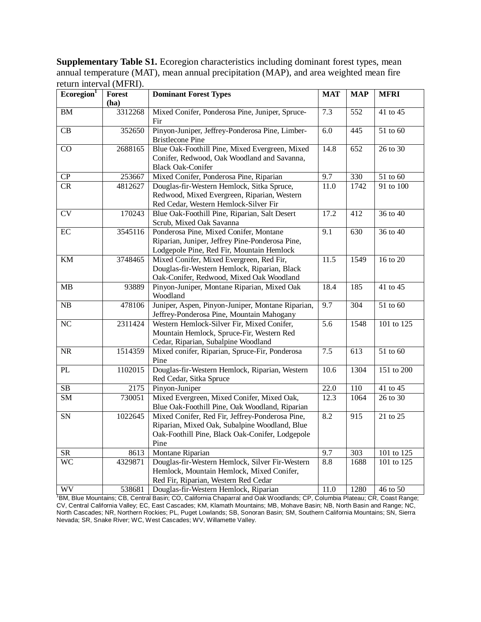**Supplementary Table S1.** Ecoregion characteristics including dominant forest types, mean annual temperature (MAT), mean annual precipitation (MAP), and area weighted mean fire return interval (MFRI).

| Ecoregion <sup>1</sup>     | <b>Forest</b>    | <b>Dominant Forest Types</b>                                                                                              | <b>MAT</b>       | <b>MAP</b>       | <b>MFRI</b>                          |
|----------------------------|------------------|---------------------------------------------------------------------------------------------------------------------------|------------------|------------------|--------------------------------------|
|                            | (ha)             |                                                                                                                           |                  |                  |                                      |
| ${\bf BM}$                 | 3312268          | Mixed Conifer, Ponderosa Pine, Juniper, Spruce-<br>Fir                                                                    | 7.3              | 552              | 41 to 45                             |
| $\overline{\text{CB}}$     |                  | Pinyon-Juniper, Jeffrey-Ponderosa Pine, Limber-                                                                           | 6.0              | 445              | 51 to 60                             |
|                            | 352650           | <b>Bristlecone Pine</b>                                                                                                   |                  |                  |                                      |
| $\overline{CO}$            | 2688165          | Blue Oak-Foothill Pine, Mixed Evergreen, Mixed                                                                            | 14.8             | 652              | 26 to 30                             |
|                            |                  | Conifer, Redwood, Oak Woodland and Savanna,                                                                               |                  |                  |                                      |
|                            |                  | <b>Black Oak-Conifer</b>                                                                                                  |                  |                  |                                      |
| ${\bf CP}$                 | 253667           | Mixed Conifer, Ponderosa Pine, Riparian                                                                                   | 9.7              | 330              | 51 to 60                             |
| CR                         | 4812627          | Douglas-fir-Western Hemlock, Sitka Spruce,                                                                                | 11.0             | 1742             | 91 to 100                            |
|                            |                  | Redwood, Mixed Evergreen, Riparian, Western                                                                               |                  |                  |                                      |
|                            |                  | Red Cedar, Western Hemlock-Silver Fir                                                                                     |                  |                  |                                      |
| $\overline{\text{CV}}$     | 170243           | Blue Oak-Foothill Pine, Riparian, Salt Desert                                                                             | 17.2             | 412              | 36 to 40                             |
|                            |                  | Scrub, Mixed Oak Savanna                                                                                                  |                  |                  |                                      |
| EC                         | 3545116          | Ponderosa Pine, Mixed Conifer, Montane                                                                                    | 9.1              | 630              | 36 to 40                             |
|                            |                  | Riparian, Juniper, Jeffrey Pine-Ponderosa Pine,                                                                           |                  |                  |                                      |
|                            |                  | Lodgepole Pine, Red Fir, Mountain Hemlock                                                                                 |                  |                  |                                      |
| $\mathop{\rm KM}\nolimits$ | 3748465          | Mixed Conifer, Mixed Evergreen, Red Fir,                                                                                  | 11.5             | 1549             | 16 to 20                             |
|                            |                  | Douglas-fir-Western Hemlock, Riparian, Black                                                                              |                  |                  |                                      |
|                            |                  | Oak-Conifer, Redwood, Mixed Oak Woodland                                                                                  |                  |                  |                                      |
| MB                         | 93889            | Pinyon-Juniper, Montane Riparian, Mixed Oak                                                                               | 18.4             | 185              | 41 to 45                             |
|                            |                  | Woodland                                                                                                                  |                  |                  |                                      |
| ${\rm NB}$                 | 478106           | Juniper, Aspen, Pinyon-Juniper, Montane Riparian,                                                                         | 9.7              | 304              | 51 to 60                             |
|                            |                  | Jeffrey-Ponderosa Pine, Mountain Mahogany                                                                                 |                  |                  |                                      |
| NC                         | 2311424          | Western Hemlock-Silver Fir, Mixed Conifer,                                                                                | $\overline{5.6}$ | 1548             | $\overline{101}$ to $\overline{125}$ |
|                            |                  | Mountain Hemlock, Spruce-Fir, Western Red                                                                                 |                  |                  |                                      |
|                            |                  | Cedar, Riparian, Subalpine Woodland                                                                                       |                  |                  |                                      |
| $\overline{\text{NR}}$     | 1514359          | Mixed conifer, Riparian, Spruce-Fir, Ponderosa                                                                            | 7.5              | 613              | 51 to 60                             |
|                            |                  | Pine                                                                                                                      |                  |                  |                                      |
| PL                         | 1102015          | Douglas-fir-Western Hemlock, Riparian, Western                                                                            | 10.6             | 1304             | 151 to 200                           |
|                            |                  | Red Cedar, Sitka Spruce                                                                                                   |                  |                  |                                      |
| $\overline{\text{SB}}$     | $\frac{2175}{ }$ | Pinyon-Juniper                                                                                                            | 22.0             | 110              | 41 to 45                             |
| $\overline{\text{SM}}$     | 730051           | Mixed Evergreen, Mixed Conifer, Mixed Oak,                                                                                | 12.3             | 1064             | 26 to 30                             |
|                            |                  | Blue Oak-Foothill Pine, Oak Woodland, Riparian                                                                            |                  |                  |                                      |
| ${\rm SN}$                 | 1022645          | Mixed Conifer, Red Fir, Jeffrey-Ponderosa Pine,                                                                           | 8.2              | $\overline{915}$ | 21 to 25                             |
|                            |                  | Riparian, Mixed Oak, Subalpine Woodland, Blue                                                                             |                  |                  |                                      |
|                            |                  | Oak-Foothill Pine, Black Oak-Conifer, Lodgepole                                                                           |                  |                  |                                      |
|                            |                  | Pine                                                                                                                      | 9.7              |                  |                                      |
| <b>SR</b>                  | 8613             | Montane Riparian<br>Douglas-fir-Western Hemlock, Silver Fir-Western                                                       |                  | 303              | 101 to 125                           |
| <b>WC</b>                  | 4329871          | Hemlock, Mountain Hemlock, Mixed Conifer,                                                                                 | 8.8              | 1688             | 101 to 125                           |
|                            |                  |                                                                                                                           |                  |                  |                                      |
| <b>WV</b>                  | 538681           | Red Fir, Riparian, Western Red Cedar<br>Douglas-fir-Western Hemlock, Riparian                                             | 11.0             | 1280             | 46 to 50                             |
|                            |                  | BM, Blue Mountains; CB, Central Basin; CO, California Chaparral and Oak Woodlands; CP, Columbia Plateau; CR, Coast Range; |                  |                  |                                      |

CV, Central California Valley; EC, East Cascades; KM, Klamath Mountains; MB, Mohave Basin; NB, North Basin and Range; NC, North Cascades; NR, Northern Rockies; PL, Puget Lowlands; SB, Sonoran Basin; SM, Southern California Mountains; SN, Sierra Nevada; SR, Snake River; WC, West Cascades; WV, Willamette Valley.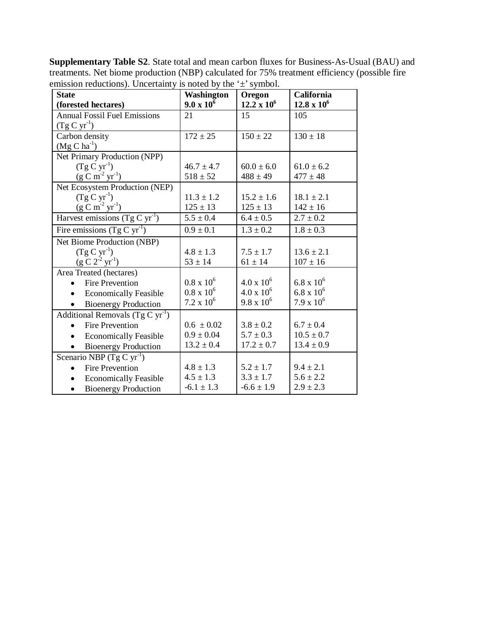**Supplementary Table S2**. State total and mean carbon fluxes for Business-As-Usual (BAU) and treatments. Net biome production (NBP) calculated for 75% treatment efficiency (possible fire emission reductions). Uncertainty is noted by the  $\pm$ ' symbol.

| <b>State</b>                              | <b>Washington</b>   | Oregon              | California          |
|-------------------------------------------|---------------------|---------------------|---------------------|
| (forested hectares)                       | $9.0 \times 10^{6}$ | $12.2 \times 10^6$  | $12.8 \times 10^6$  |
| <b>Annual Fossil Fuel Emissions</b>       | 21                  | 15                  | 105                 |
| $(Tg C yr^{-1})$                          |                     |                     |                     |
| Carbon density                            | $172 \pm 25$        | $150 \pm 22$        | $130 \pm 18$        |
| $(Mg C ha^{-1})$                          |                     |                     |                     |
| Net Primary Production (NPP)              |                     |                     |                     |
| $(Tg C yr^{-1})$                          | $46.7 \pm 4.7$      | $60.0 \pm 6.0$      | $61.0 \pm 6.2$      |
| $(g C m-2 yr-1)$                          | $518 \pm 52$        | $488 \pm 49$        | $477 \pm 48$        |
| Net Ecosystem Production (NEP)            |                     |                     |                     |
| $(Tg C yr^{-1})$                          | $11.3 \pm 1.2$      | $15.2 \pm 1.6$      | $18.1 \pm 2.1$      |
| $(g C m-2 yr-1)$                          | $125 \pm 13$        | $125 \pm 13$        | $142 \pm 16$        |
| Harvest emissions (Tg C $yr^{-1}$ )       | $5.5 \pm 0.4$       | $6.4 \pm 0.5$       | $2.7 \pm 0.2$       |
| Fire emissions $(Tg C yr^{-1})$           | $0.9 \pm 0.1$       | $1.3 \pm 0.2$       | $1.8 \pm 0.3$       |
| Net Biome Production (NBP)                |                     |                     |                     |
| $(Tg C yr^{-1})$                          | $4.8 \pm 1.3$       | $7.5 \pm 1.7$       | $13.6 \pm 2.1$      |
| $(g C 2^{-2} yr^{-1})$                    | $53 \pm 14$         | $61 \pm 14$         | $107 \pm 16$        |
| Area Treated (hectares)                   |                     |                     |                     |
| <b>Fire Prevention</b>                    | $0.8 \times 10^{6}$ | $4.0 \times 10^6$   | $6.8 \times 10^{6}$ |
| <b>Economically Feasible</b><br>$\bullet$ | $0.8 \times 10^{6}$ | $4.0 \times 10^{6}$ | $6.8 \times 10^{6}$ |
| <b>Bioenergy Production</b><br>$\bullet$  | $7.2 \times 10^6$   | $9.8 \times 10^{6}$ | $7.9 \times 10^6$   |
| Additional Removals (Tg C $yr^{-1}$ )     |                     |                     |                     |
| <b>Fire Prevention</b>                    | $0.6 \pm 0.02$      | $3.8 \pm 0.2$       | $6.7 \pm 0.4$       |
| <b>Economically Feasible</b>              | $0.9 \pm 0.04$      | $5.7 \pm 0.3$       | $10.5 \pm 0.7$      |
| <b>Bioenergy Production</b>               | $13.2 \pm 0.4$      | $17.2 \pm 0.7$      | $13.4 \pm 0.9$      |
| Scenario NBP (Tg C $yr^{-1}$ )            |                     |                     |                     |
| <b>Fire Prevention</b>                    | $4.8 \pm 1.3$       | $5.2 \pm 1.7$       | $9.4 \pm 2.1$       |
| <b>Economically Feasible</b><br>$\bullet$ | $4.5 \pm 1.3$       | $3.3 \pm 1.7$       | $5.6 \pm 2.2$       |
| <b>Bioenergy Production</b>               | $-6.1 \pm 1.3$      | $-6.6 \pm 1.9$      | $2.9 \pm 2.3$       |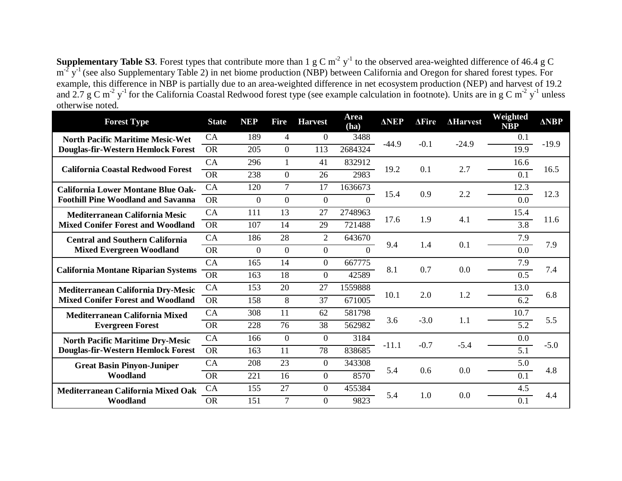**Supplementary Table S3**. Forest types that contribute more than  $1 \text{ g C m}^{-2} \text{ y}^{-1}$  to the observed area-weighted difference of 46.4 g C  $m^2 y^1$  (see also Supplementary Table 2) in net biome production (NBP) between California and Oregon for shared forest types. For example, this difference in NBP is partially due to an area-weighted difference in net ecosystem production (NEP) and harvest of 19.2 and 2.7 g C m<sup>-2</sup> y<sup>-1</sup> for the California Coastal Redwood forest type (see example calculation in footnote). Units are in g C m<sup>-2</sup> y<sup>-1</sup> unless otherwise noted.

| <b>Forest Type</b>                                                            | <b>State</b> | <b>NEP</b>     | <b>Fire</b>    | <b>Harvest</b> | Area<br>(ha)   | <b>ANEP</b> | $\Delta$ Fire | <b>AHarvest</b> | Weighted<br><b>NBP</b> | <b>ANBP</b> |
|-------------------------------------------------------------------------------|--------------|----------------|----------------|----------------|----------------|-------------|---------------|-----------------|------------------------|-------------|
| <b>North Pacific Maritime Mesic-Wet</b>                                       | CA           | 189            | $\overline{4}$ | $\theta$       | 3488           | $-44.9$     | $-0.1$        | $-24.9$         | 0.1                    | $-19.9$     |
| Douglas-fir-Western Hemlock Forest                                            | <b>OR</b>    | 205            | $\overline{0}$ | 113            | 2684324        |             |               |                 | 19.9                   |             |
| <b>California Coastal Redwood Forest</b>                                      | CA           | 296            |                | 41             | 832912         | 19.2        | 0.1           | 2.7             | 16.6                   | 16.5        |
|                                                                               | <b>OR</b>    | 238            | $\Omega$       | 26             | 2983           |             |               |                 | 0.1                    |             |
| <b>California Lower Montane Blue Oak-</b>                                     | CA           | 120            | $\overline{7}$ | 17             | 1636673        | 15.4        | 0.9           | 2.2             | 12.3                   | 12.3        |
| <b>Foothill Pine Woodland and Savanna</b>                                     | <b>OR</b>    | $\overline{0}$ | $\overline{0}$ | $\overline{0}$ | $\overline{0}$ |             |               |                 | 0.0                    |             |
| Mediterranean California Mesic                                                | CA           | 111            | 13             | 27             | 2748963        | 17.6        | 1.9           | 4.1             | 15.4                   | 11.6        |
| <b>Mixed Conifer Forest and Woodland</b>                                      | <b>OR</b>    | 107            | 14             | 29             | 721488         |             |               |                 | $\overline{3.8}$       |             |
| <b>Central and Southern California</b>                                        | CA           | 186            | 28             | $\overline{2}$ | 643670         | 9.4         | 1.4           | 0.1             | 7.9                    | 7.9         |
| <b>Mixed Evergreen Woodland</b>                                               | <b>OR</b>    | $\overline{0}$ | $\overline{0}$ | $\overline{0}$ | $\theta$       |             |               |                 | 0.0                    |             |
| <b>California Montane Riparian Systems</b>                                    | CA           | 165            | 14             | $\overline{0}$ | 667775         | 8.1         | 0.7           | 0.0             | 7.9                    | 7.4         |
|                                                                               | <b>OR</b>    | 163            | 18             | $\Omega$       | 42589          |             |               |                 | 0.5                    |             |
| Mediterranean California Dry-Mesic                                            | CA           | 153            | 20             | 27             | 1559888        | 10.1        | 2.0           | 1.2             | 13.0                   | 6.8         |
| <b>Mixed Conifer Forest and Woodland</b>                                      | <b>OR</b>    | 158            | 8              | 37             | 671005         |             |               |                 | $\overline{6.2}$       |             |
| Mediterranean California Mixed                                                | CA           | 308            | 11             | 62             | 581798         | 3.6         | $-3.0$        | 1.1             | 10.7                   | 5.5         |
| <b>Evergreen Forest</b>                                                       | <b>OR</b>    | 228            | 76             | 38             | 562982         |             |               |                 | $\overline{5.2}$       |             |
| <b>North Pacific Maritime Dry-Mesic</b><br>Douglas-fir-Western Hemlock Forest | CA           | 166            | $\overline{0}$ | $\overline{0}$ | 3184           | $-11.1$     | $-0.7$        | $-5.4$          | 0.0                    | $-5.0$      |
|                                                                               | <b>OR</b>    | 163            | 11             | 78             | 838685         |             |               |                 | 5.1                    |             |
| <b>Great Basin Pinyon-Juniper</b>                                             | CA           | 208            | 23             | $\mathbf{0}$   | 343308         | 5.4         | 0.6           | 0.0             | 5.0                    | 4.8         |
| Woodland                                                                      | <b>OR</b>    | 221            | 16             | $\overline{0}$ | 8570           |             |               |                 | 0.1                    |             |
| Mediterranean California Mixed Oak                                            | CA           | 155            | 27             | $\mathbf{0}$   | 455384         | 5.4         | 1.0           |                 | 4.5                    |             |
| Woodland                                                                      | <b>OR</b>    | 151            | $\tau$         | $\overline{0}$ | 9823           |             |               | 0.0             | 0.1                    | 4.4         |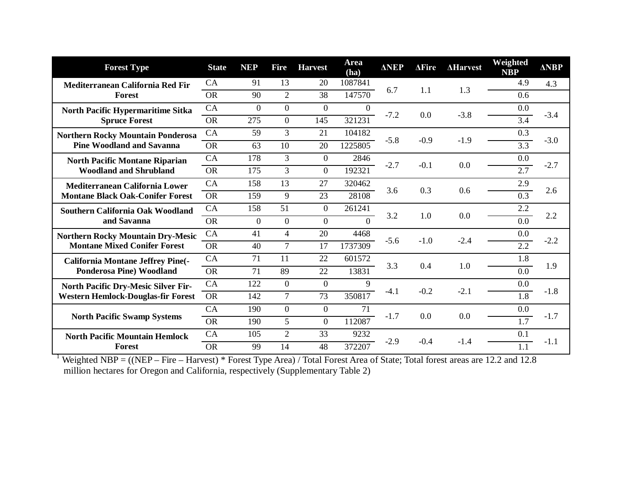| <b>Forest Type</b>                                                                      | <b>State</b> | <b>NEP</b>     | <b>Fire</b>    | <b>Harvest</b> | Area<br>(ha)   | <b>ANEP</b> | $\Delta$ Fire | <b>AHarvest</b> | Weighted<br><b>NBP</b> | <b>ANBP</b> |
|-----------------------------------------------------------------------------------------|--------------|----------------|----------------|----------------|----------------|-------------|---------------|-----------------|------------------------|-------------|
| Mediterranean California Red Fir                                                        | CA           | 91             | 13             | 20             | 1087841        | 6.7         | 1.1           | 1.3             | 4.9                    | 4.3         |
| Forest                                                                                  | <b>OR</b>    | 90             | $\overline{2}$ | 38             | 147570         |             |               |                 | 0.6                    |             |
| <b>North Pacific Hypermaritime Sitka</b>                                                | CA           | $\overline{0}$ | $\overline{0}$ | $\theta$       | $\overline{0}$ | $-7.2$      | 0.0           | $-3.8$          | 0.0                    | $-3.4$      |
| <b>Spruce Forest</b>                                                                    | <b>OR</b>    | 275            | $\overline{0}$ | 145            | 321231         |             |               |                 | 3.4                    |             |
| <b>Northern Rocky Mountain Ponderosa</b>                                                | CA           | 59             | 3              | 21             | 104182         | $-5.8$      | $-0.9$        | $-1.9$          | 0.3                    | $-3.0$      |
| <b>Pine Woodland and Savanna</b>                                                        | <b>OR</b>    | 63             | 10             | 20             | 1225805        |             |               |                 | $\overline{3.3}$       |             |
| <b>North Pacific Montane Riparian</b>                                                   | CA           | 178            | 3              | $\theta$       | 2846           | $-2.7$      | $-0.1$        | 0.0             | 0.0                    | $-2.7$      |
| <b>Woodland and Shrubland</b>                                                           | <b>OR</b>    | 175            | $\overline{3}$ | $\Omega$       | 192321         |             |               |                 | 2.7                    |             |
| Mediterranean California Lower                                                          | CA           | 158            | 13             | 27             | 320462         | 3.6         | 0.3           | 0.6             | 2.9                    | 2.6         |
| <b>Montane Black Oak-Conifer Forest</b>                                                 | <b>OR</b>    | 159            | 9              | 23             | 28108          |             |               |                 | 0.3                    |             |
| <b>Southern California Oak Woodland</b><br>and Savanna                                  | CA           | 158            | 51             | $\theta$       | 261241         | 3.2         | 1.0           | 0.0             | 2.2                    | 2.2         |
|                                                                                         | <b>OR</b>    | $\overline{0}$ | $\overline{0}$ | $\overline{0}$ | $\overline{0}$ |             |               |                 | 0.0                    |             |
| <b>Northern Rocky Mountain Dry-Mesic</b>                                                | CA           | 41             | $\overline{4}$ | 20             | 4468           | $-5.6$      | $-1.0$        | $-2.4$          | 0.0                    | $-2.2$      |
| <b>Montane Mixed Conifer Forest</b>                                                     | <b>OR</b>    | 40             | $\overline{7}$ | 17             | 1737309        |             |               |                 | $\overline{2.2}$       |             |
| <b>California Montane Jeffrey Pine(-</b>                                                | CA           | 71             | 11             | 22             | 601572         | 3.3         | 0.4           | 1.0             | 1.8                    | 1.9         |
| <b>Ponderosa Pine) Woodland</b>                                                         | <b>OR</b>    | 71             | 89             | 22             | 13831          |             |               |                 | 0.0                    |             |
| <b>North Pacific Dry-Mesic Silver Fir-</b><br><b>Western Hemlock-Douglas-fir Forest</b> | CA           | 122            | $\overline{0}$ | $\overline{0}$ | 9              | $-4.1$      | $-0.2$        | $-2.1$          | 0.0                    | $-1.8$      |
|                                                                                         | <b>OR</b>    | 142            | $\overline{7}$ | 73             | 350817         |             |               |                 | 1.8                    |             |
| <b>North Pacific Swamp Systems</b>                                                      | CA           | 190            | $\overline{0}$ | $\theta$       | 71             | $-1.7$      | 0.0           | 0.0             | 0.0                    |             |
|                                                                                         | <b>OR</b>    | 190            | 5              | $\Omega$       | 112087         |             |               |                 | 1.7                    | $-1.7$      |
| <b>North Pacific Mountain Hemlock</b>                                                   | CA           | 105            | $\overline{2}$ | 33             | 9232           | $-2.9$      |               | $-1.4$          | 0.1                    | $-1.1$      |
| <b>Forest</b>                                                                           | <b>OR</b>    | 99             | 14             | 48             | 372207         |             | $-0.4$        |                 | 1.1                    |             |

<sup>1</sup> Weighted NBP =  $((NEP - Fire - Harvest) * Forest Type Area) / Total Forest Area of State; Total forest areas are 12.2 and 12.8$ million hectares for Oregon and California, respectively (Supplementary Table 2)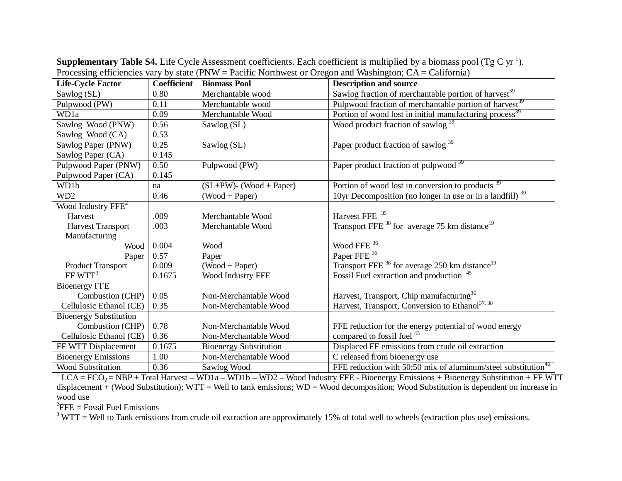| <b>Life-Cycle Factor</b>       | <b>Coefficient</b> | <b>Biomass Pool</b>           | <b>Description and source</b>                                             |
|--------------------------------|--------------------|-------------------------------|---------------------------------------------------------------------------|
| Sawlog (SL)                    | 0.80               | Merchantable wood             | Sawlog fraction of merchantable portion of harvest <sup>39</sup>          |
| Pulpwood (PW)                  | 0.11               | Merchantable wood             | Pulpwood fraction of merchantable portion of harvest <sup>39</sup>        |
| WD1a                           | 0.09               | Merchantable Wood             | Portion of wood lost in initial manufacturing process <sup>39</sup>       |
| Sawlog Wood (PNW)              | 0.56               | Sawlog (SL)                   | Wood product fraction of sawlog <sup>39</sup>                             |
| Sawlog Wood (CA)               | 0.53               |                               |                                                                           |
| Sawlog Paper (PNW)             | 0.25               | Sawlog (SL)                   | Paper product fraction of sawlog <sup>39</sup>                            |
| Sawlog Paper (CA)              | 0.145              |                               |                                                                           |
| Pulpwood Paper (PNW)           | 0.50               | Pulpwood (PW)                 | Paper product fraction of pulpwood <sup>39</sup>                          |
| Pulpwood Paper (CA)            | 0.145              |                               |                                                                           |
| WD1b                           | na                 | $(SL+PW)$ - (Wood + Paper)    | Portion of wood lost in conversion to products <sup>39</sup>              |
| WD <sub>2</sub>                | 0.46               | $(Wood + Paper)$              | 10yr Decomposition (no longer in use or in a landfill) $39$               |
| Wood Industry FFE <sup>2</sup> |                    |                               |                                                                           |
| Harvest                        | .009               | Merchantable Wood             | Harvest FFE <sup>35</sup>                                                 |
| <b>Harvest Transport</b>       | .003               | Merchantable Wood             | Transport FFE $^{36}$ for average 75 km distance <sup>19</sup>            |
| Manufacturing                  |                    |                               |                                                                           |
| Wood                           | 0.004              | Wood                          | Wood FFE <sup>36</sup>                                                    |
| Paper                          | 0.57               | Paper                         | Paper FFE <sup>36</sup>                                                   |
| <b>Product Transport</b>       | 0.009              | $(Wood + Paper)$              | Transport FFE <sup>36</sup> for average 250 km distance <sup>19</sup>     |
| FF WTT <sup>3</sup>            | 0.1675             | Wood Industry FFE             | Fossil Fuel extraction and production <sup>45</sup>                       |
| <b>Bioenergy FFE</b>           |                    |                               |                                                                           |
| Combustion (CHP)               | 0.05               | Non-Merchantable Wood         | Harvest, Transport, Chip manufacturing <sup>36</sup>                      |
| Cellulosic Ethanol (CE)        | 0.35               | Non-Merchantable Wood         | Harvest, Transport, Conversion to Ethanol <sup>37, 38</sup>               |
| <b>Bioenergy Substitution</b>  |                    |                               |                                                                           |
| Combustion (CHP)               | 0.78               | Non-Merchantable Wood         | FFE reduction for the energy potential of wood energy                     |
| Cellulosic Ethanol (CE)        | 0.36               | Non-Merchantable Wood         | compared to fossil fuel <sup>43</sup>                                     |
| FF WTT Displacement            | 0.1675             | <b>Bioenergy Substitution</b> | Displaced FF emissions from crude oil extraction                          |
| <b>Bioenergy Emissions</b>     | 1.00               | Non-Merchantable Wood         | C released from bioenergy use                                             |
| <b>Wood Substitution</b>       | 0.36               | Sawlog Wood                   | FFE reduction with 50:50 mix of aluminum/steel substitution <sup>46</sup> |

Supplementary Table S4. Life Cycle Assessment coefficients. Each coefficient is multiplied by a biomass pool (Tg C yr<sup>-1</sup>). Processing efficiencies vary by state (PNW = Pacific Northwest or Oregon and Washington;  $CA = California$ )

 $1$  LCA = FCO<sub>2</sub> = NBP + Total Harvest – WD1a – WD1b – WD2 – Wood Industry FFE - Bioenergy Emissions + Bioenergy Substitution + FF WTT displacement + (Wood Substitution); WTT = Well to tank emissions; WD = Wood decomposition; Wood Substitution is dependent on increase in wood use

 ${}^{2}$ FFE = Fossil Fuel Emissions

 $3$  WTT = Well to Tank emissions from crude oil extraction are approximately 15% of total well to wheels (extraction plus use) emissions.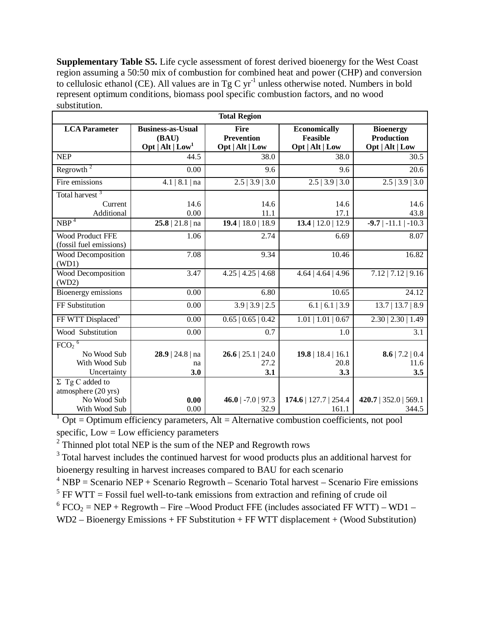**Supplementary Table S5.** Life cycle assessment of forest derived bioenergy for the West Coast region assuming a 50:50 mix of combustion for combined heat and power (CHP) and conversion to cellulosic ethanol (CE). All values are in Tg C yr<sup>-1</sup> unless otherwise noted. Numbers in bold represent optimum conditions, biomass pool specific combustion factors, and no wood substitution.

| <b>Total Region</b>                           |                                                           |                                                     |                                                           |                                                          |  |  |  |
|-----------------------------------------------|-----------------------------------------------------------|-----------------------------------------------------|-----------------------------------------------------------|----------------------------------------------------------|--|--|--|
| <b>LCA</b> Parameter                          | <b>Business-as-Usual</b><br>(BAU)<br>Opt   $Alt$   $Low1$ | <b>Fire</b><br><b>Prevention</b><br>Opt   Alt   Low | <b>Economically</b><br><b>Feasible</b><br>Opt   Alt   Low | <b>Bioenergy</b><br><b>Production</b><br>Opt   Alt   Low |  |  |  |
| <b>NEP</b>                                    | 44.5                                                      | 38.0                                                | 38.0                                                      | 30.5                                                     |  |  |  |
| Regrowth $2$                                  | 0.00                                                      | 9.6                                                 | 9.6                                                       | 20.6                                                     |  |  |  |
| Fire emissions                                | 4.1   8.1   na                                            | $2.5$   3.9   3.0                                   | $2.5$   3.9   3.0                                         | $2.5$   3.9   3.0                                        |  |  |  |
| Total harvest <sup>3</sup>                    |                                                           |                                                     |                                                           |                                                          |  |  |  |
| Current                                       | 14.6                                                      | 14.6                                                | 14.6                                                      | 14.6                                                     |  |  |  |
| Additional                                    | 0.00                                                      | 11.1                                                | 17.1                                                      | 43.8                                                     |  |  |  |
| NBP <sup>4</sup>                              | $25.8$   21.8   na                                        | $19.4$   18.0   18.9                                | $13.4$   12.0   12.9                                      | $-9.7$   $-11.1$  <br>$-10.3$                            |  |  |  |
| Wood Product FFE<br>(fossil fuel emissions)   | 1.06                                                      | 2.74                                                | 6.69                                                      | 8.07                                                     |  |  |  |
| Wood Decomposition<br>(WD1)                   | 7.08                                                      | 9.34                                                | 10.46                                                     | 16.82                                                    |  |  |  |
| Wood Decomposition<br>(WD2)                   | 3.47                                                      | $4.25$   $4.25$   $4.68$                            | $4.64$   $4.64$   $4.96$                                  | $7.12$   $7.12$   $9.16$                                 |  |  |  |
| Bioenergy emissions                           | 0.00                                                      | 6.80                                                | 10.65                                                     | 24.12                                                    |  |  |  |
| FF Substitution                               | 0.00                                                      | $3.9$   3.9   2.5                                   | 6.1   6.1   3.9                                           | $13.7$   13.7   8.9                                      |  |  |  |
| FF WTT Displaced <sup>5</sup>                 | 0.00                                                      | 0.65   0.65   0.42                                  | $1.01 \mid 1.01 \mid 0.67$                                | 2.30   2.30   1.49                                       |  |  |  |
| Wood Substitution                             | 0.00                                                      | 0.7                                                 | 1.0                                                       | 3.1                                                      |  |  |  |
| $FCO2$ <sup>6</sup>                           |                                                           |                                                     |                                                           |                                                          |  |  |  |
| No Wood Sub                                   | 28.9   24.8   na                                          | $26.6$   25.1   24.0                                | $19.8$   18.4   16.1                                      | 8.6   7.2   0.4                                          |  |  |  |
| With Wood Sub                                 | na                                                        | 27.2                                                | 20.8                                                      | 11.6                                                     |  |  |  |
| Uncertainty                                   | 3.0                                                       | 3.1                                                 | 3.3                                                       | 3.5                                                      |  |  |  |
| $\Sigma$ Tg C added to<br>atmosphere (20 yrs) |                                                           |                                                     |                                                           |                                                          |  |  |  |
| No Wood Sub                                   | 0.00                                                      | 46.0   $-7.0$   97.3                                | 174.6   127.7   254.4                                     | $420.7$   352.0   569.1                                  |  |  |  |
| With Wood Sub                                 | 0.00                                                      | 32.9                                                | 161.1                                                     | 344.5                                                    |  |  |  |

 $1$  Opt = Optimum efficiency parameters, Alt = Alternative combustion coefficients, not pool specific,  $Low = Low$  efficiency parameters

 $2$  Thinned plot total NEP is the sum of the NEP and Regrowth rows

<sup>3</sup> Total harvest includes the continued harvest for wood products plus an additional harvest for bioenergy resulting in harvest increases compared to BAU for each scenario

 $4$  NBP = Scenario NEP + Scenario Regrowth – Scenario Total harvest – Scenario Fire emissions

 $5$  FF WTT = Fossil fuel well-to-tank emissions from extraction and refining of crude oil

 $6 FCO<sub>2</sub> = NEP + Regrowth - Fire - Wood Product FFE (includes associated FF WTT) - WD1 -$ 

WD2 – Bioenergy Emissions + FF Substitution + FF WTT displacement + (Wood Substitution)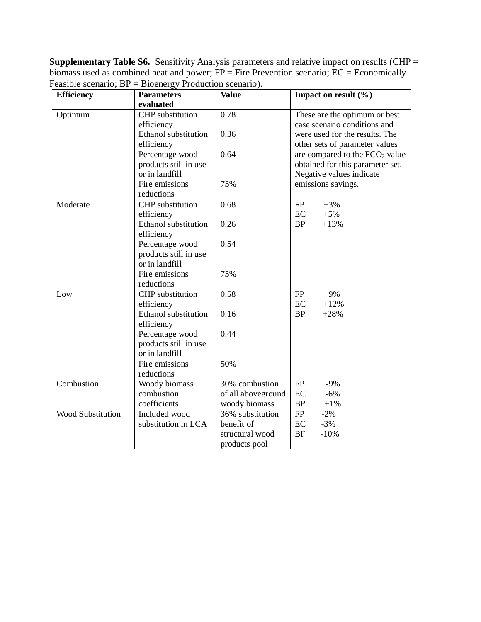**Supplementary Table S6.** Sensitivity Analysis parameters and relative impact on results (CHP = biomass used as combined heat and power;  $FP = Fire$  Prevention scenario;  $EC = Economically$ Feasible scenario; BP = Bioenergy Production scenario).

| <b>Efficiency</b>        | <b>Parameters</b>       | <b>Value</b>       | Impact on result (%)             |
|--------------------------|-------------------------|--------------------|----------------------------------|
|                          | evaluated               |                    |                                  |
| Optimum                  | <b>CHP</b> substitution | 0.78               | These are the optimum or best    |
|                          | efficiency              |                    | case scenario conditions and     |
|                          | Ethanol substitution    | 0.36               | were used for the results. The   |
|                          | efficiency              |                    | other sets of parameter values   |
|                          | Percentage wood         | 0.64               | are compared to the $FCO2$ value |
|                          | products still in use   |                    | obtained for this parameter set. |
|                          | or in landfill          |                    | Negative values indicate         |
|                          | Fire emissions          | 75%                | emissions savings.               |
|                          | reductions              |                    |                                  |
| Moderate                 | <b>CHP</b> substitution | 0.68               | FP<br>$+3%$                      |
|                          | efficiency              |                    | EC<br>$+5%$                      |
|                          | Ethanol substitution    | 0.26               | <b>BP</b><br>$+13%$              |
|                          | efficiency              |                    |                                  |
|                          | Percentage wood         | 0.54               |                                  |
|                          | products still in use   |                    |                                  |
|                          | or in landfill          |                    |                                  |
|                          | Fire emissions          | 75%                |                                  |
|                          | reductions              |                    |                                  |
| Low                      | CHP substitution        | 0.58               | FP<br>$+9%$                      |
|                          | efficiency              |                    | EC<br>$+12%$                     |
|                          | Ethanol substitution    | 0.16               | <b>BP</b><br>$+28%$              |
|                          | efficiency              |                    |                                  |
|                          | Percentage wood         | 0.44               |                                  |
|                          | products still in use   |                    |                                  |
|                          | or in landfill          |                    |                                  |
|                          | Fire emissions          | 50%                |                                  |
|                          | reductions              |                    |                                  |
| Combustion               | Woody biomass           | 30% combustion     | <b>FP</b><br>$-9%$               |
|                          | combustion              | of all aboveground | EC<br>$-6%$                      |
|                          | coefficients            | woody biomass      | BP<br>$+1%$                      |
| <b>Wood Substitution</b> | Included wood           | 36% substitution   | FP<br>$-2%$                      |
|                          | substitution in LCA     | benefit of         | $-3%$<br>EC                      |
|                          |                         | structural wood    | <b>BF</b><br>$-10%$              |
|                          |                         | products pool      |                                  |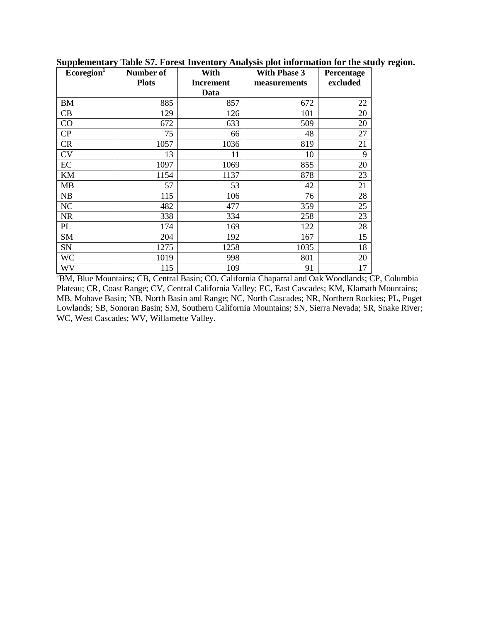| Ecoregion <sup>1</sup> | Number of    | With      | <b>With Phase 3</b> | Percentage |
|------------------------|--------------|-----------|---------------------|------------|
|                        | <b>Plots</b> | Increment | measurements        | excluded   |
|                        |              | Data      |                     |            |
| BM                     | 885          | 857       | 672                 | 22         |
| CB                     | 129          | 126       | 101                 | 20         |
| CO                     | 672          | 633       | 509                 | 20         |
| CP                     | 75           | 66        | 48                  | 27         |
| CR                     | 1057         | 1036      | 819                 | 21         |
| CV                     | 13           | 11        | 10                  | 9          |
| EC                     | 1097         | 1069      | 855                 | 20         |
| KM                     | 1154         | 1137      | 878                 | 23         |
| <b>MB</b>              | 57           | 53        | 42                  | 21         |
| NB                     | 115          | 106       | 76                  | 28         |
| NC                     | 482          | 477       | 359                 | 25         |
| <b>NR</b>              | 338          | 334       | 258                 | 23         |
| PL                     | 174          | 169       | 122                 | 28         |
| SM                     | 204          | 192       | 167                 | 15         |
| SN                     | 1275         | 1258      | 1035                | 18         |
| WC                     | 1019         | 998       | 801                 | 20         |
| WV                     | 115          | 109       | 91                  | 17         |

**Supplementary Table S7. Forest Inventory Analysis plot information for the study region.**

<sup>1</sup>BM, Blue Mountains; CB, Central Basin; CO, California Chaparral and Oak Woodlands; CP, Columbia Plateau; CR, Coast Range; CV, Central California Valley; EC, East Cascades; KM, Klamath Mountains; MB, Mohave Basin; NB, North Basin and Range; NC, North Cascades; NR, Northern Rockies; PL, Puget Lowlands; SB, Sonoran Basin; SM, Southern California Mountains; SN, Sierra Nevada; SR, Snake River; WC, West Cascades; WV, Willamette Valley.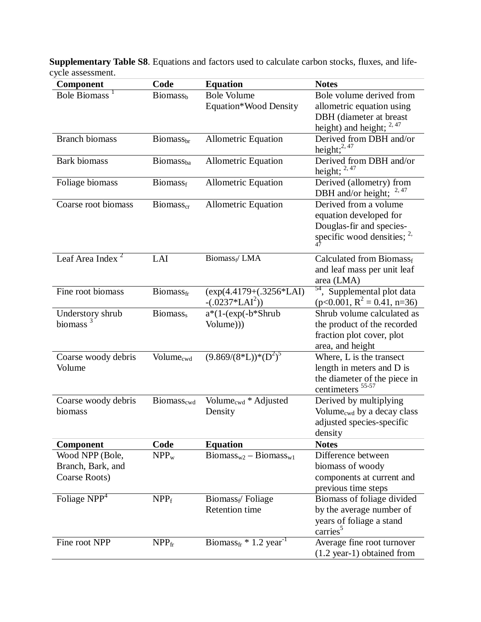| Bole Biomass <sup>1</sup><br><b>Bole Volume</b><br>Bole volume derived from<br>Biomass <sub>b</sub><br>Equation*Wood Density<br>allometric equation using<br>DBH (diameter at breast<br>height) and height; $2,47$<br><b>Branch biomass</b><br>Derived from DBH and/or<br><b>Allometric Equation</b><br>Biomass <sub>br</sub><br>height; $^{2,47}$<br><b>Bark</b> biomass<br><b>Allometric Equation</b><br>Derived from DBH and/or<br><b>Biomass</b> <sub>ba</sub><br>height; $2,47$<br><b>Allometric Equation</b><br>Derived (allometry) from<br>Foliage biomass<br><b>Biomass</b> f<br>2, 47<br>DBH and/or height;<br>Coarse root biomass<br>Derived from a volume<br><b>Allometric Equation</b><br><b>Biomass</b> <sub>cr</sub><br>equation developed for<br>Douglas-fir and species-<br>specific wood densities; $2$ ,<br>Leaf Area Index <sup>2</sup><br>Biomass <sub>f</sub> /LMA<br>LAI<br>Calculated from Biomassf<br>and leaf mass per unit leaf<br>area (LMA)<br><sup>54</sup> , Supplemental plot data<br>Fine root biomass<br>$(exp(4.4179 + (.3256 * LAI))$<br>Biomass <sub>fr</sub><br>$(p<0.001, R^2 = 0.41, n=36)$<br>$-(.0237 * LAI2))$<br>$a*(1-(exp(-b)Shrub))$<br>Shrub volume calculated as<br>Biomass,<br>Understory shrub<br>biomass<br>the product of the recorded<br>Volume))<br>fraction plot cover, plot<br>area, and height |
|---------------------------------------------------------------------------------------------------------------------------------------------------------------------------------------------------------------------------------------------------------------------------------------------------------------------------------------------------------------------------------------------------------------------------------------------------------------------------------------------------------------------------------------------------------------------------------------------------------------------------------------------------------------------------------------------------------------------------------------------------------------------------------------------------------------------------------------------------------------------------------------------------------------------------------------------------------------------------------------------------------------------------------------------------------------------------------------------------------------------------------------------------------------------------------------------------------------------------------------------------------------------------------------------------------------------------------------------------------|
|                                                                                                                                                                                                                                                                                                                                                                                                                                                                                                                                                                                                                                                                                                                                                                                                                                                                                                                                                                                                                                                                                                                                                                                                                                                                                                                                                         |
|                                                                                                                                                                                                                                                                                                                                                                                                                                                                                                                                                                                                                                                                                                                                                                                                                                                                                                                                                                                                                                                                                                                                                                                                                                                                                                                                                         |
|                                                                                                                                                                                                                                                                                                                                                                                                                                                                                                                                                                                                                                                                                                                                                                                                                                                                                                                                                                                                                                                                                                                                                                                                                                                                                                                                                         |
|                                                                                                                                                                                                                                                                                                                                                                                                                                                                                                                                                                                                                                                                                                                                                                                                                                                                                                                                                                                                                                                                                                                                                                                                                                                                                                                                                         |
|                                                                                                                                                                                                                                                                                                                                                                                                                                                                                                                                                                                                                                                                                                                                                                                                                                                                                                                                                                                                                                                                                                                                                                                                                                                                                                                                                         |
|                                                                                                                                                                                                                                                                                                                                                                                                                                                                                                                                                                                                                                                                                                                                                                                                                                                                                                                                                                                                                                                                                                                                                                                                                                                                                                                                                         |
|                                                                                                                                                                                                                                                                                                                                                                                                                                                                                                                                                                                                                                                                                                                                                                                                                                                                                                                                                                                                                                                                                                                                                                                                                                                                                                                                                         |
|                                                                                                                                                                                                                                                                                                                                                                                                                                                                                                                                                                                                                                                                                                                                                                                                                                                                                                                                                                                                                                                                                                                                                                                                                                                                                                                                                         |
|                                                                                                                                                                                                                                                                                                                                                                                                                                                                                                                                                                                                                                                                                                                                                                                                                                                                                                                                                                                                                                                                                                                                                                                                                                                                                                                                                         |
|                                                                                                                                                                                                                                                                                                                                                                                                                                                                                                                                                                                                                                                                                                                                                                                                                                                                                                                                                                                                                                                                                                                                                                                                                                                                                                                                                         |
|                                                                                                                                                                                                                                                                                                                                                                                                                                                                                                                                                                                                                                                                                                                                                                                                                                                                                                                                                                                                                                                                                                                                                                                                                                                                                                                                                         |
|                                                                                                                                                                                                                                                                                                                                                                                                                                                                                                                                                                                                                                                                                                                                                                                                                                                                                                                                                                                                                                                                                                                                                                                                                                                                                                                                                         |
|                                                                                                                                                                                                                                                                                                                                                                                                                                                                                                                                                                                                                                                                                                                                                                                                                                                                                                                                                                                                                                                                                                                                                                                                                                                                                                                                                         |
|                                                                                                                                                                                                                                                                                                                                                                                                                                                                                                                                                                                                                                                                                                                                                                                                                                                                                                                                                                                                                                                                                                                                                                                                                                                                                                                                                         |
|                                                                                                                                                                                                                                                                                                                                                                                                                                                                                                                                                                                                                                                                                                                                                                                                                                                                                                                                                                                                                                                                                                                                                                                                                                                                                                                                                         |
|                                                                                                                                                                                                                                                                                                                                                                                                                                                                                                                                                                                                                                                                                                                                                                                                                                                                                                                                                                                                                                                                                                                                                                                                                                                                                                                                                         |
|                                                                                                                                                                                                                                                                                                                                                                                                                                                                                                                                                                                                                                                                                                                                                                                                                                                                                                                                                                                                                                                                                                                                                                                                                                                                                                                                                         |
|                                                                                                                                                                                                                                                                                                                                                                                                                                                                                                                                                                                                                                                                                                                                                                                                                                                                                                                                                                                                                                                                                                                                                                                                                                                                                                                                                         |
|                                                                                                                                                                                                                                                                                                                                                                                                                                                                                                                                                                                                                                                                                                                                                                                                                                                                                                                                                                                                                                                                                                                                                                                                                                                                                                                                                         |
|                                                                                                                                                                                                                                                                                                                                                                                                                                                                                                                                                                                                                                                                                                                                                                                                                                                                                                                                                                                                                                                                                                                                                                                                                                                                                                                                                         |
| $(9.869/(8*L))*(D^2)^5$<br>Where, L is the transect<br>Volume <sub>cwd</sub>                                                                                                                                                                                                                                                                                                                                                                                                                                                                                                                                                                                                                                                                                                                                                                                                                                                                                                                                                                                                                                                                                                                                                                                                                                                                            |
| Coarse woody debris<br>Volume<br>length in meters and D is                                                                                                                                                                                                                                                                                                                                                                                                                                                                                                                                                                                                                                                                                                                                                                                                                                                                                                                                                                                                                                                                                                                                                                                                                                                                                              |
| the diameter of the piece in                                                                                                                                                                                                                                                                                                                                                                                                                                                                                                                                                                                                                                                                                                                                                                                                                                                                                                                                                                                                                                                                                                                                                                                                                                                                                                                            |
| centimeters                                                                                                                                                                                                                                                                                                                                                                                                                                                                                                                                                                                                                                                                                                                                                                                                                                                                                                                                                                                                                                                                                                                                                                                                                                                                                                                                             |
| Volume <sub>cwd</sub> * Adjusted<br>Derived by multiplying<br>Coarse woody debris<br>Biomass <sub>cwd</sub>                                                                                                                                                                                                                                                                                                                                                                                                                                                                                                                                                                                                                                                                                                                                                                                                                                                                                                                                                                                                                                                                                                                                                                                                                                             |
| Volume <sub>cwd</sub> by a decay class<br>biomass<br>Density                                                                                                                                                                                                                                                                                                                                                                                                                                                                                                                                                                                                                                                                                                                                                                                                                                                                                                                                                                                                                                                                                                                                                                                                                                                                                            |
| adjusted species-specific                                                                                                                                                                                                                                                                                                                                                                                                                                                                                                                                                                                                                                                                                                                                                                                                                                                                                                                                                                                                                                                                                                                                                                                                                                                                                                                               |
| density                                                                                                                                                                                                                                                                                                                                                                                                                                                                                                                                                                                                                                                                                                                                                                                                                                                                                                                                                                                                                                                                                                                                                                                                                                                                                                                                                 |
| Code<br><b>Notes</b><br><b>Equation</b><br>Component                                                                                                                                                                                                                                                                                                                                                                                                                                                                                                                                                                                                                                                                                                                                                                                                                                                                                                                                                                                                                                                                                                                                                                                                                                                                                                    |
| $Biomass_{w2} - Biomass_{w1}$<br>Wood NPP (Bole,<br>Difference between<br>$NPP_w$                                                                                                                                                                                                                                                                                                                                                                                                                                                                                                                                                                                                                                                                                                                                                                                                                                                                                                                                                                                                                                                                                                                                                                                                                                                                       |
| Branch, Bark, and<br>biomass of woody                                                                                                                                                                                                                                                                                                                                                                                                                                                                                                                                                                                                                                                                                                                                                                                                                                                                                                                                                                                                                                                                                                                                                                                                                                                                                                                   |
| Coarse Roots)<br>components at current and                                                                                                                                                                                                                                                                                                                                                                                                                                                                                                                                                                                                                                                                                                                                                                                                                                                                                                                                                                                                                                                                                                                                                                                                                                                                                                              |
| previous time steps                                                                                                                                                                                                                                                                                                                                                                                                                                                                                                                                                                                                                                                                                                                                                                                                                                                                                                                                                                                                                                                                                                                                                                                                                                                                                                                                     |
| Foliage NPP <sup>4</sup><br>Biomass of foliage divided<br>NPP <sub>f</sub><br>$\text{Biomass}_{f}$ Foliage                                                                                                                                                                                                                                                                                                                                                                                                                                                                                                                                                                                                                                                                                                                                                                                                                                                                                                                                                                                                                                                                                                                                                                                                                                              |
| <b>Retention time</b><br>by the average number of                                                                                                                                                                                                                                                                                                                                                                                                                                                                                                                                                                                                                                                                                                                                                                                                                                                                                                                                                                                                                                                                                                                                                                                                                                                                                                       |
| years of foliage a stand                                                                                                                                                                                                                                                                                                                                                                                                                                                                                                                                                                                                                                                                                                                                                                                                                                                                                                                                                                                                                                                                                                                                                                                                                                                                                                                                |
| carries                                                                                                                                                                                                                                                                                                                                                                                                                                                                                                                                                                                                                                                                                                                                                                                                                                                                                                                                                                                                                                                                                                                                                                                                                                                                                                                                                 |
| Biomass <sub>fr</sub> * 1.2 year <sup>-1</sup><br>Fine root NPP<br>NPP <sub>fr</sub><br>Average fine root turnover<br>$(1.2 \text{ year-1})$ obtained from                                                                                                                                                                                                                                                                                                                                                                                                                                                                                                                                                                                                                                                                                                                                                                                                                                                                                                                                                                                                                                                                                                                                                                                              |

**Supplementary Table S8**. Equations and factors used to calculate carbon stocks, fluxes, and lifecycle assessment.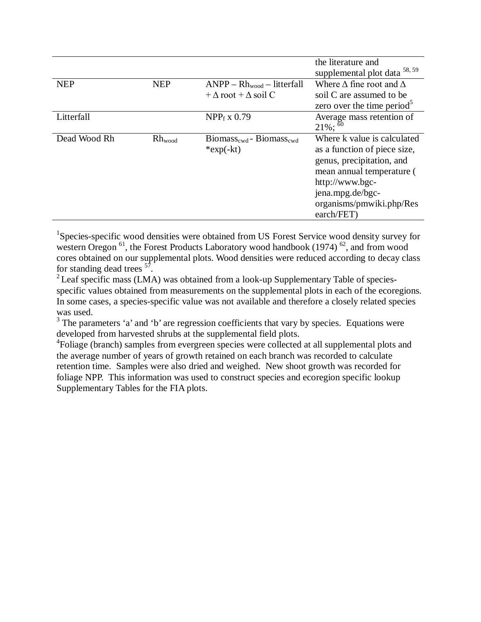|              |             |                                                                | the literature and<br>58, 59                                                                                                                                                                           |
|--------------|-------------|----------------------------------------------------------------|--------------------------------------------------------------------------------------------------------------------------------------------------------------------------------------------------------|
| <b>NEP</b>   | <b>NEP</b>  | $ANPP - Rh_{wood} - litterfall$                                | supplemental plot data<br>Where $\Delta$ fine root and $\Delta$                                                                                                                                        |
|              |             | $+\Delta$ root $+\Delta$ soil C                                | soil C are assumed to be<br>zero over the time period <sup>5</sup>                                                                                                                                     |
| Litterfall   |             | $NPP_f \times 0.79$                                            | Average mass retention of<br>$21\%$ ; $^{60}$                                                                                                                                                          |
| Dead Wood Rh | $Rh_{wood}$ | $Biomass_{\text{cwd}}$ - Biomass <sub>cwd</sub><br>$*exp(-kt)$ | Where k value is calculated<br>as a function of piece size,<br>genus, precipitation, and<br>mean annual temperature (<br>http://www.bgc-<br>jena.mpg.de/bgc-<br>organisms/pmwiki.php/Res<br>earch/FET) |

<sup>1</sup>Species-specific wood densities were obtained from US Forest Service wood density survey for western Oregon  $^{61}$ , the Forest Products Laboratory wood handbook (1974)  $^{62}$ , and from wood cores obtained on our supplemental plots. Wood densities were reduced according to decay class for standing dead trees  $^{57}$ .

<sup>2</sup> Leaf specific mass (LMA) was obtained from a look-up Supplementary Table of speciesspecific values obtained from measurements on the supplemental plots in each of the ecoregions. In some cases, a species-specific value was not available and therefore a closely related species was used.

<sup>3</sup> The parameters 'a' and 'b' are regression coefficients that vary by species. Equations were developed from harvested shrubs at the supplemental field plots.

<sup>4</sup>Foliage (branch) samples from evergreen species were collected at all supplemental plots and the average number of years of growth retained on each branch was recorded to calculate retention time. Samples were also dried and weighed. New shoot growth was recorded for foliage NPP. This information was used to construct species and ecoregion specific lookup Supplementary Tables for the FIA plots.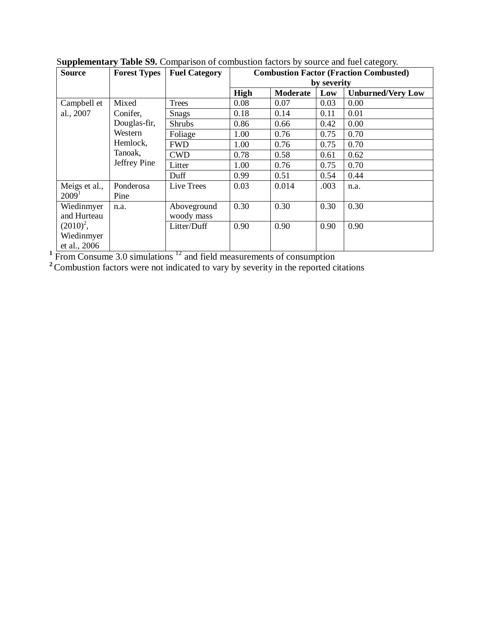| <b>Source</b>     | <b>Forest Types</b> | <b>Fuel Category</b> | <b>Combustion Factor (Fraction Combusted)</b> |                 |             |                          |  |  |
|-------------------|---------------------|----------------------|-----------------------------------------------|-----------------|-------------|--------------------------|--|--|
|                   |                     |                      |                                               |                 | by severity |                          |  |  |
|                   |                     |                      | High                                          | <b>Moderate</b> | Low         | <b>Unburned/Very Low</b> |  |  |
| Campbell et       | Mixed               | Trees                | 0.08                                          | 0.07            | 0.03        | 0.00                     |  |  |
| al., 2007         | Conifer,            | <b>Snags</b>         | 0.18                                          | 0.14            | 0.11        | 0.01                     |  |  |
|                   | Douglas-fir,        | <b>Shrubs</b>        | 0.86                                          | 0.66            | 0.42        | 0.00                     |  |  |
|                   | Western             | Foliage              | 1.00                                          | 0.76            | 0.75        | 0.70                     |  |  |
|                   | Hemlock,            | <b>FWD</b>           | 1.00                                          | 0.76            | 0.75        | 0.70                     |  |  |
|                   | Tanoak,             | <b>CWD</b>           | 0.78                                          | 0.58            | 0.61        | 0.62                     |  |  |
|                   | Jeffrey Pine        | Litter               | 1.00                                          | 0.76            | 0.75        | 0.70                     |  |  |
|                   |                     | Duff                 | 0.99                                          | 0.51            | 0.54        | 0.44                     |  |  |
| Meigs et al.,     | Ponderosa           | Live Trees           | 0.03                                          | 0.014           | .003        | n.a.                     |  |  |
| 2009 <sup>1</sup> | Pine                |                      |                                               |                 |             |                          |  |  |
| Wiedinmyer        | n.a.                | Aboveground          | 0.30                                          | 0.30            | 0.30        | 0.30                     |  |  |
| and Hurteau       |                     | woody mass           |                                               |                 |             |                          |  |  |
| $(2010)^2$ ,      |                     | Litter/Duff          | 0.90                                          | 0.90            | 0.90        | 0.90                     |  |  |
| Wiedinmyer        |                     |                      |                                               |                 |             |                          |  |  |
| et al., 2006      |                     |                      |                                               |                 |             |                          |  |  |

S**upplementary Table S9.** Comparison of combustion factors by source and fuel category.

<sup>1</sup> From Consume 3.0 simulations<sup>12</sup> and field measurements of consumption

<sup>2</sup> Combustion factors were not indicated to vary by severity in the reported citations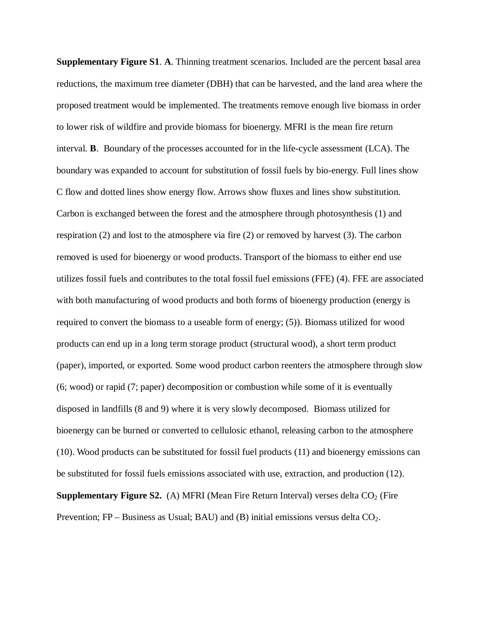**Supplementary Figure S1**. **A**. Thinning treatment scenarios. Included are the percent basal area reductions, the maximum tree diameter (DBH) that can be harvested, and the land area where the proposed treatment would be implemented. The treatments remove enough live biomass in order to lower risk of wildfire and provide biomass for bioenergy. MFRI is the mean fire return interval. **B**. Boundary of the processes accounted for in the life-cycle assessment (LCA). The boundary was expanded to account for substitution of fossil fuels by bio-energy. Full lines show C flow and dotted lines show energy flow. Arrows show fluxes and lines show substitution. Carbon is exchanged between the forest and the atmosphere through photosynthesis (1) and respiration (2) and lost to the atmosphere via fire (2) or removed by harvest (3). The carbon removed is used for bioenergy or wood products. Transport of the biomass to either end use utilizes fossil fuels and contributes to the total fossil fuel emissions (FFE) (4). FFE are associated with both manufacturing of wood products and both forms of bioenergy production (energy is required to convert the biomass to a useable form of energy; (5)). Biomass utilized for wood products can end up in a long term storage product (structural wood), a short term product (paper), imported, or exported. Some wood product carbon reenters the atmosphere through slow (6; wood) or rapid (7; paper) decomposition or combustion while some of it is eventually disposed in landfills (8 and 9) where it is very slowly decomposed. Biomass utilized for bioenergy can be burned or converted to cellulosic ethanol, releasing carbon to the atmosphere (10). Wood products can be substituted for fossil fuel products (11) and bioenergy emissions can be substituted for fossil fuels emissions associated with use, extraction, and production (12). **Supplementary Figure S2.** (A) MFRI (Mean Fire Return Interval) verses delta CO<sub>2</sub> (Fire Prevention;  $FP$  – Business as Usual; BAU) and (B) initial emissions versus delta  $CO<sub>2</sub>$ .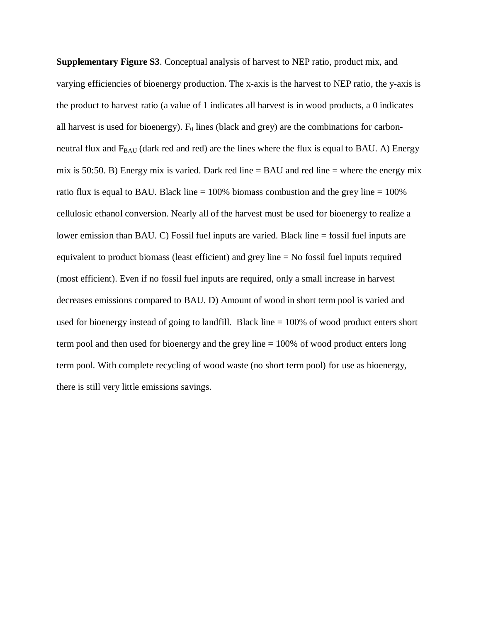**Supplementary Figure S3**. Conceptual analysis of harvest to NEP ratio, product mix, and varying efficiencies of bioenergy production. The x-axis is the harvest to NEP ratio, the y-axis is the product to harvest ratio (a value of 1 indicates all harvest is in wood products, a 0 indicates all harvest is used for bioenergy).  $F_0$  lines (black and grey) are the combinations for carbonneutral flux and  $F_{BAU}$  (dark red and red) are the lines where the flux is equal to BAU. A) Energy mix is 50:50. B) Energy mix is varied. Dark red line  $=$  BAU and red line  $=$  where the energy mix ratio flux is equal to BAU. Black line  $= 100\%$  biomass combustion and the grey line  $= 100\%$ cellulosic ethanol conversion. Nearly all of the harvest must be used for bioenergy to realize a lower emission than BAU. C) Fossil fuel inputs are varied. Black line = fossil fuel inputs are equivalent to product biomass (least efficient) and grey line = No fossil fuel inputs required (most efficient). Even if no fossil fuel inputs are required, only a small increase in harvest decreases emissions compared to BAU. D) Amount of wood in short term pool is varied and used for bioenergy instead of going to landfill. Black line = 100% of wood product enters short term pool and then used for bioenergy and the grey line = 100% of wood product enters long term pool. With complete recycling of wood waste (no short term pool) for use as bioenergy, there is still very little emissions savings.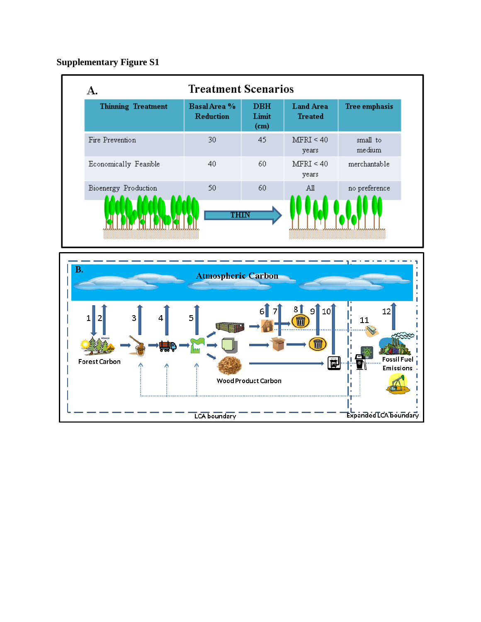**Supplementary Figure S1**

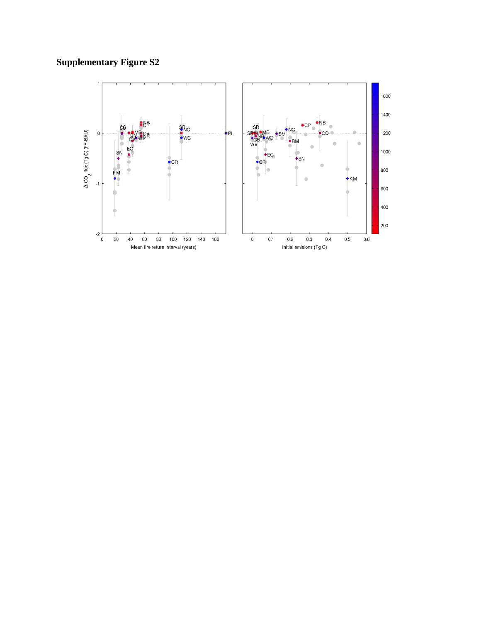# **Supplementary Figure S2**